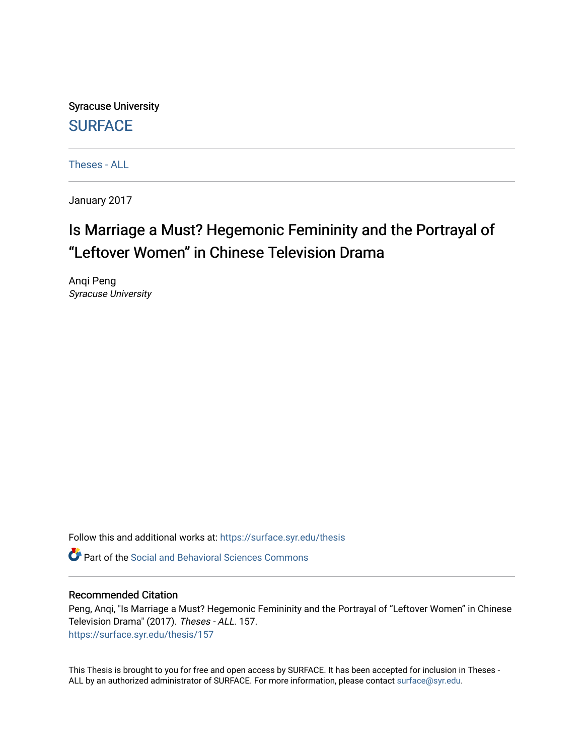Syracuse University **[SURFACE](https://surface.syr.edu/)** 

[Theses - ALL](https://surface.syr.edu/thesis)

January 2017

# Is Marriage a Must? Hegemonic Femininity and the Portrayal of "Leftover Women" in Chinese Television Drama

Anqi Peng Syracuse University

Follow this and additional works at: [https://surface.syr.edu/thesis](https://surface.syr.edu/thesis?utm_source=surface.syr.edu%2Fthesis%2F157&utm_medium=PDF&utm_campaign=PDFCoverPages)

Part of the [Social and Behavioral Sciences Commons](http://network.bepress.com/hgg/discipline/316?utm_source=surface.syr.edu%2Fthesis%2F157&utm_medium=PDF&utm_campaign=PDFCoverPages) 

#### Recommended Citation

Peng, Anqi, "Is Marriage a Must? Hegemonic Femininity and the Portrayal of "Leftover Women" in Chinese Television Drama" (2017). Theses - ALL. 157. [https://surface.syr.edu/thesis/157](https://surface.syr.edu/thesis/157?utm_source=surface.syr.edu%2Fthesis%2F157&utm_medium=PDF&utm_campaign=PDFCoverPages)

This Thesis is brought to you for free and open access by SURFACE. It has been accepted for inclusion in Theses - ALL by an authorized administrator of SURFACE. For more information, please contact [surface@syr.edu](mailto:surface@syr.edu).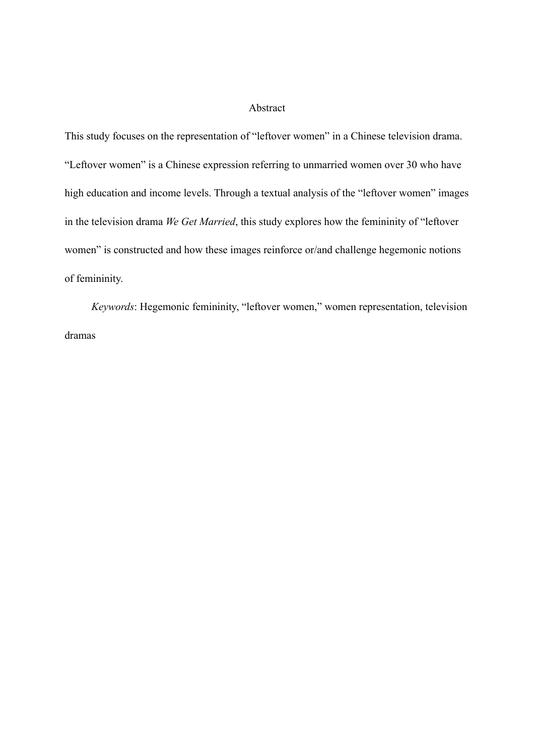# Abstract

This study focuses on the representation of "leftover women" in a Chinese television drama. "Leftover women" is a Chinese expression referring to unmarried women over 30 who have high education and income levels. Through a textual analysis of the "leftover women" images in the television drama *We Get Married*, this study explores how the femininity of "leftover women" is constructed and how these images reinforce or/and challenge hegemonic notions of femininity.

*Keywords*: Hegemonic femininity, "leftover women," women representation, television dramas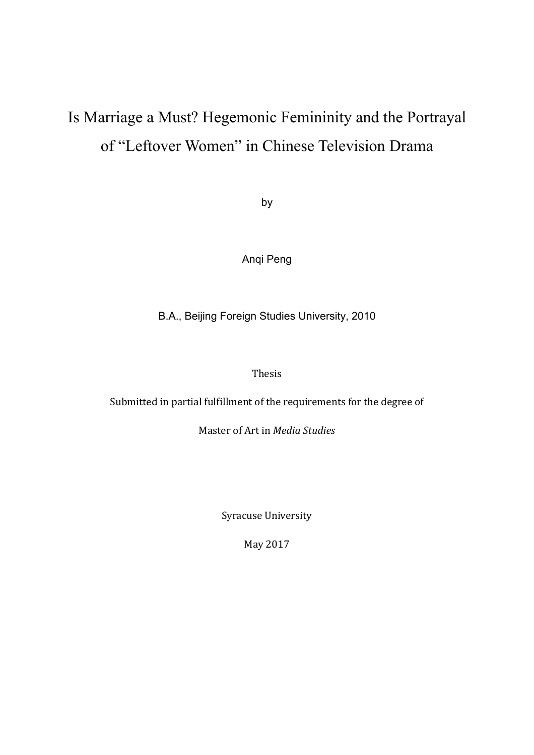# Is Marriage a Must? Hegemonic Femininity and the Portrayal of "Leftover Women" in Chinese Television Drama

by

Anqi Peng

B.A., Beijing Foreign Studies University, 2010

Thesis

Submitted in partial fulfillment of the requirements for the degree of

Master of Art in *Media Studies*

Syracuse University

May 2017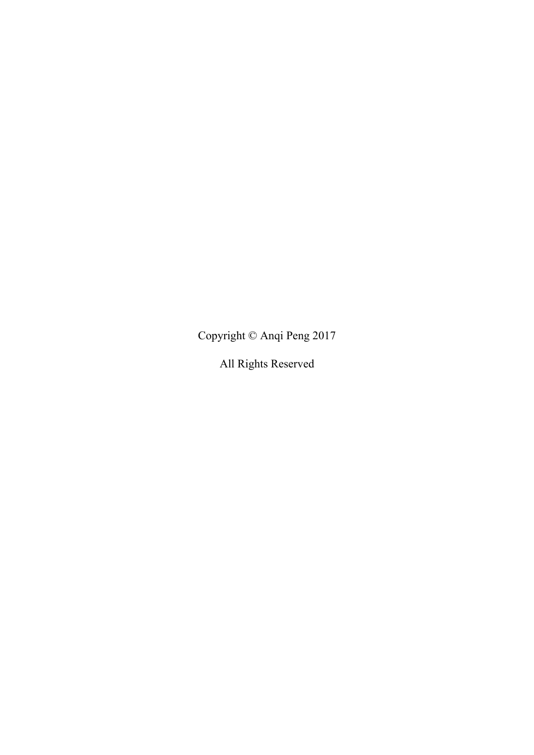Copyright © Anqi Peng 2017

All Rights Reserved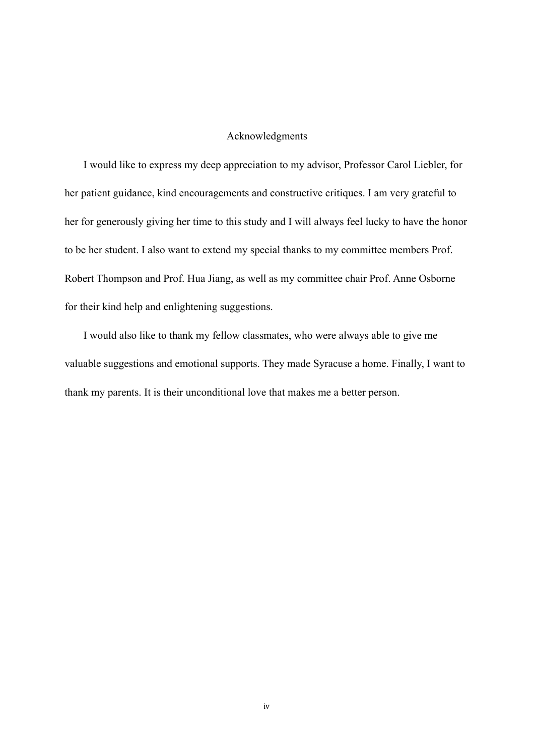## Acknowledgments

I would like to express my deep appreciation to my advisor, Professor Carol Liebler, for her patient guidance, kind encouragements and constructive critiques. I am very grateful to her for generously giving her time to this study and I will always feel lucky to have the honor to be her student. I also want to extend my special thanks to my committee members Prof. Robert Thompson and Prof. Hua Jiang, as well as my committee chair Prof. Anne Osborne for their kind help and enlightening suggestions.

I would also like to thank my fellow classmates, who were always able to give me valuable suggestions and emotional supports. They made Syracuse a home. Finally, I want to thank my parents. It is their unconditional love that makes me a better person.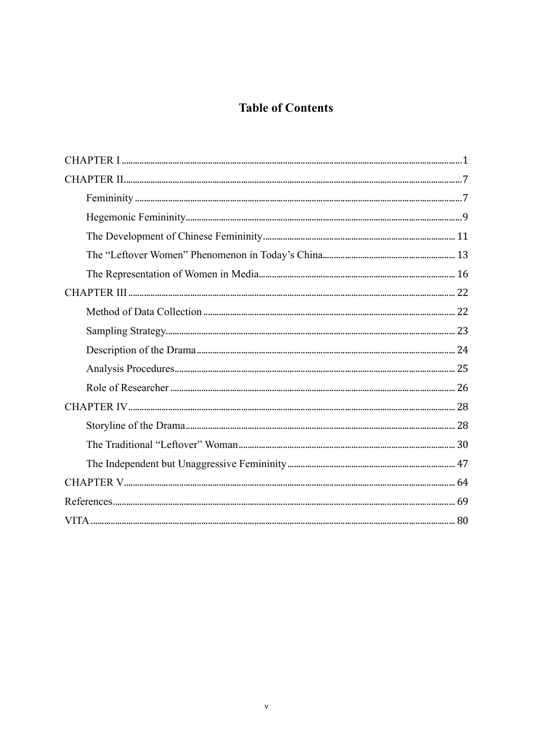# **Table of Contents**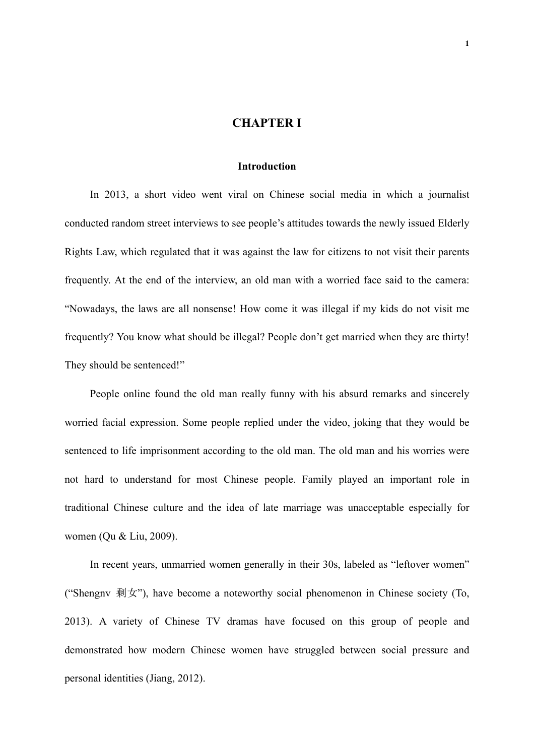# **CHAPTER I**

#### **Introduction**

In 2013, a short video went viral on Chinese social media in which a journalist conducted random street interviews to see people's attitudes towards the newly issued Elderly Rights Law, which regulated that it was against the law for citizens to not visit their parents frequently. At the end of the interview, an old man with a worried face said to the camera: "Nowadays, the laws are all nonsense! How come it was illegal if my kids do not visit me frequently? You know what should be illegal? People don't get married when they are thirty! They should be sentenced!"

People online found the old man really funny with his absurd remarks and sincerely worried facial expression. Some people replied under the video, joking that they would be sentenced to life imprisonment according to the old man. The old man and his worries were not hard to understand for most Chinese people. Family played an important role in traditional Chinese culture and the idea of late marriage was unacceptable especially for women (Qu & Liu, 2009).

In recent years, unmarried women generally in their 30s, labeled as "leftover women" ("Shengnv 剩女"), have become a noteworthy social phenomenon in Chinese society (To, 2013). A variety of Chinese TV dramas have focused on this group of people and demonstrated how modern Chinese women have struggled between social pressure and personal identities (Jiang, 2012).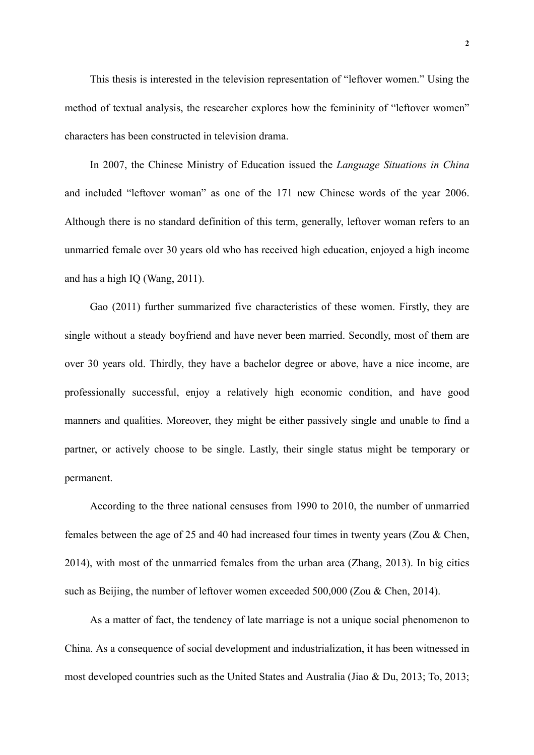This thesis is interested in the television representation of "leftover women." Using the method of textual analysis, the researcher explores how the femininity of "leftover women" characters has been constructed in television drama.

In 2007, the Chinese Ministry of Education issued the *Language Situations in China*  and included "leftover woman" as one of the 171 new Chinese words of the year 2006. Although there is no standard definition of this term, generally, leftover woman refers to an unmarried female over 30 years old who has received high education, enjoyed a high income and has a high IQ (Wang, 2011).

Gao (2011) further summarized five characteristics of these women. Firstly, they are single without a steady boyfriend and have never been married. Secondly, most of them are over 30 years old. Thirdly, they have a bachelor degree or above, have a nice income, are professionally successful, enjoy a relatively high economic condition, and have good manners and qualities. Moreover, they might be either passively single and unable to find a partner, or actively choose to be single. Lastly, their single status might be temporary or permanent.

According to the three national censuses from 1990 to 2010, the number of unmarried females between the age of 25 and 40 had increased four times in twenty years (Zou & Chen, 2014), with most of the unmarried females from the urban area (Zhang, 2013). In big cities such as Beijing, the number of leftover women exceeded 500,000 (Zou & Chen, 2014).

As a matter of fact, the tendency of late marriage is not a unique social phenomenon to China. As a consequence of social development and industrialization, it has been witnessed in most developed countries such as the United States and Australia (Jiao & Du, 2013; To, 2013;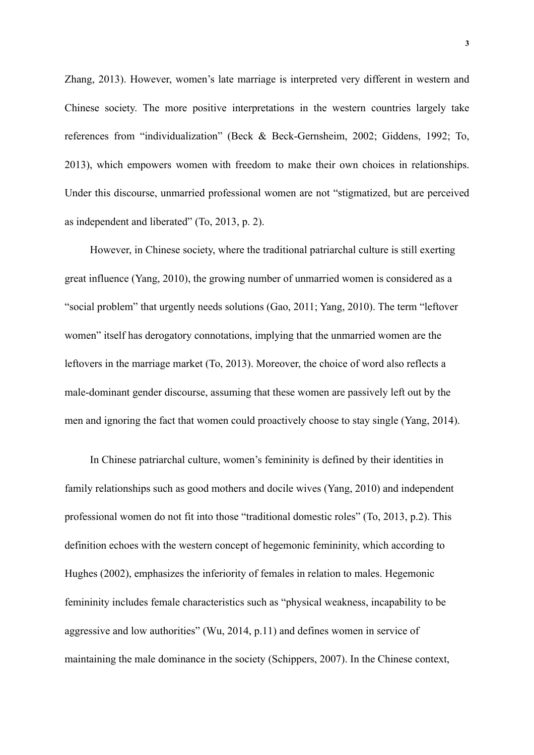Zhang, 2013). However, women's late marriage is interpreted very different in western and Chinese society. The more positive interpretations in the western countries largely take references from "individualization" (Beck & Beck-Gernsheim, 2002; Giddens, 1992; To, 2013), which empowers women with freedom to make their own choices in relationships. Under this discourse, unmarried professional women are not "stigmatized, but are perceived as independent and liberated" (To, 2013, p. 2).

However, in Chinese society, where the traditional patriarchal culture is still exerting great influence (Yang, 2010), the growing number of unmarried women is considered as a "social problem" that urgently needs solutions (Gao, 2011; Yang, 2010). The term "leftover women" itself has derogatory connotations, implying that the unmarried women are the leftovers in the marriage market (To, 2013). Moreover, the choice of word also reflects a male-dominant gender discourse, assuming that these women are passively left out by the men and ignoring the fact that women could proactively choose to stay single (Yang, 2014).

In Chinese patriarchal culture, women's femininity is defined by their identities in family relationships such as good mothers and docile wives (Yang, 2010) and independent professional women do not fit into those "traditional domestic roles" (To, 2013, p.2). This definition echoes with the western concept of hegemonic femininity, which according to Hughes (2002), emphasizes the inferiority of females in relation to males. Hegemonic femininity includes female characteristics such as "physical weakness, incapability to be aggressive and low authorities" (Wu, 2014, p.11) and defines women in service of maintaining the male dominance in the society (Schippers, 2007). In the Chinese context,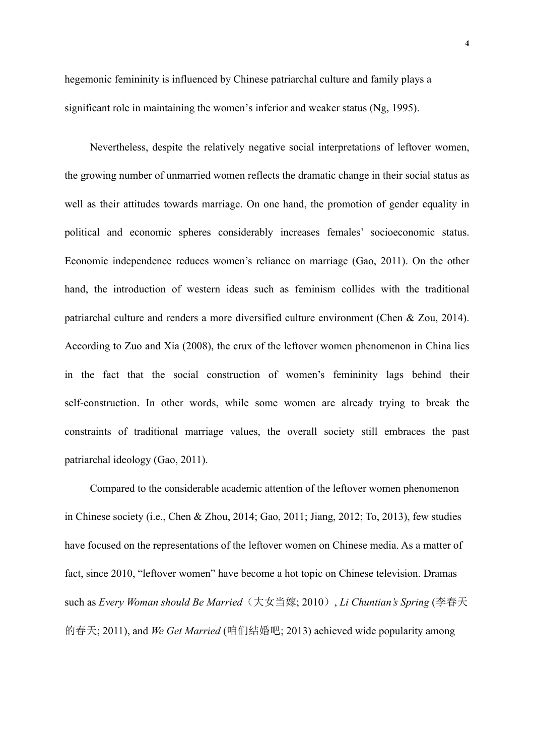hegemonic femininity is influenced by Chinese patriarchal culture and family plays a significant role in maintaining the women's inferior and weaker status (Ng, 1995).

Nevertheless, despite the relatively negative social interpretations of leftover women, the growing number of unmarried women reflects the dramatic change in their social status as well as their attitudes towards marriage. On one hand, the promotion of gender equality in political and economic spheres considerably increases females' socioeconomic status. Economic independence reduces women's reliance on marriage (Gao, 2011). On the other hand, the introduction of western ideas such as feminism collides with the traditional patriarchal culture and renders a more diversified culture environment (Chen & Zou, 2014). According to Zuo and Xia (2008), the crux of the leftover women phenomenon in China lies in the fact that the social construction of women's femininity lags behind their self-construction. In other words, while some women are already trying to break the constraints of traditional marriage values, the overall society still embraces the past patriarchal ideology (Gao, 2011).

Compared to the considerable academic attention of the leftover women phenomenon in Chinese society (i.e., Chen & Zhou, 2014; Gao, 2011; Jiang, 2012; To, 2013), few studies have focused on the representations of the leftover women on Chinese media. As a matter of fact, since 2010, "leftover women" have become a hot topic on Chinese television. Dramas such as *Every Woman should Be Married*(大女当嫁; 2010), *Li Chuntian's Spring* (李春天 的春天; 2011), and *We Get Married* (咱们结婚吧; 2013) achieved wide popularity among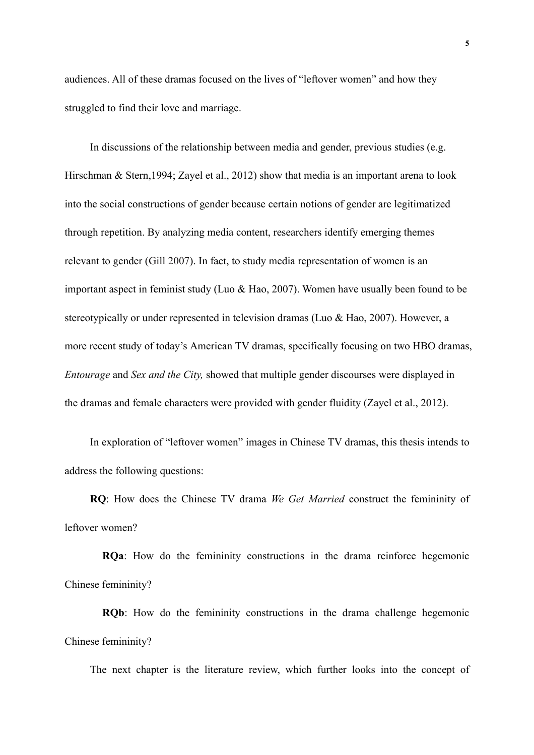audiences. All of these dramas focused on the lives of "leftover women" and how they struggled to find their love and marriage.

In discussions of the relationship between media and gender, previous studies (e.g. Hirschman & Stern,1994; Zayel et al., 2012) show that media is an important arena to look into the social constructions of gender because certain notions of gender are legitimatized through repetition. By analyzing media content, researchers identify emerging themes relevant to gender (Gill 2007). In fact, to study media representation of women is an important aspect in feminist study (Luo & Hao, 2007). Women have usually been found to be stereotypically or under represented in television dramas (Luo & Hao, 2007). However, a more recent study of today's American TV dramas, specifically focusing on two HBO dramas, *Entourage* and *Sex and the City,* showed that multiple gender discourses were displayed in the dramas and female characters were provided with gender fluidity (Zayel et al., 2012).

In exploration of "leftover women" images in Chinese TV dramas, this thesis intends to address the following questions:

**RQ**: How does the Chinese TV drama *We Get Married* construct the femininity of leftover women?

**RQa**: How do the femininity constructions in the drama reinforce hegemonic Chinese femininity?

**RQb**: How do the femininity constructions in the drama challenge hegemonic Chinese femininity?

The next chapter is the literature review, which further looks into the concept of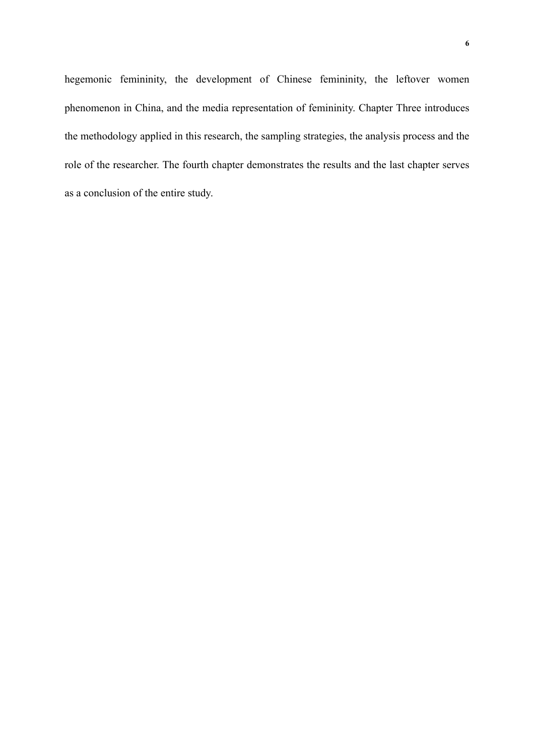hegemonic femininity, the development of Chinese femininity, the leftover women phenomenon in China, and the media representation of femininity. Chapter Three introduces the methodology applied in this research, the sampling strategies, the analysis process and the role of the researcher. The fourth chapter demonstrates the results and the last chapter serves as a conclusion of the entire study.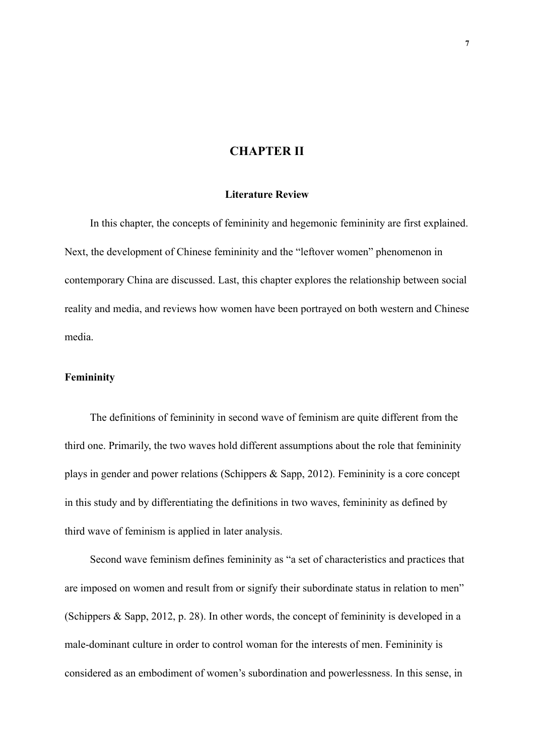# **CHAPTER II**

#### **Literature Review**

In this chapter, the concepts of femininity and hegemonic femininity are first explained. Next, the development of Chinese femininity and the "leftover women" phenomenon in contemporary China are discussed. Last, this chapter explores the relationship between social reality and media, and reviews how women have been portrayed on both western and Chinese media.

#### **Femininity**

The definitions of femininity in second wave of feminism are quite different from the third one. Primarily, the two waves hold different assumptions about the role that femininity plays in gender and power relations (Schippers & Sapp, 2012). Femininity is a core concept in this study and by differentiating the definitions in two waves, femininity as defined by third wave of feminism is applied in later analysis.

Second wave feminism defines femininity as "a set of characteristics and practices that are imposed on women and result from or signify their subordinate status in relation to men" (Schippers & Sapp, 2012, p. 28). In other words, the concept of femininity is developed in a male-dominant culture in order to control woman for the interests of men. Femininity is considered as an embodiment of women's subordination and powerlessness. In this sense, in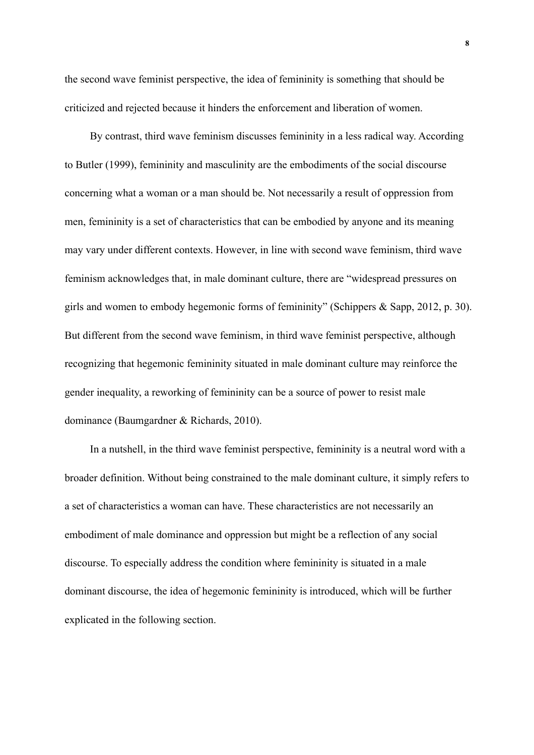the second wave feminist perspective, the idea of femininity is something that should be criticized and rejected because it hinders the enforcement and liberation of women.

By contrast, third wave feminism discusses femininity in a less radical way. According to Butler (1999), femininity and masculinity are the embodiments of the social discourse concerning what a woman or a man should be. Not necessarily a result of oppression from men, femininity is a set of characteristics that can be embodied by anyone and its meaning may vary under different contexts. However, in line with second wave feminism, third wave feminism acknowledges that, in male dominant culture, there are "widespread pressures on girls and women to embody hegemonic forms of femininity" (Schippers & Sapp, 2012, p. 30). But different from the second wave feminism, in third wave feminist perspective, although recognizing that hegemonic femininity situated in male dominant culture may reinforce the gender inequality, a reworking of femininity can be a source of power to resist male dominance (Baumgardner & Richards, 2010).

In a nutshell, in the third wave feminist perspective, femininity is a neutral word with a broader definition. Without being constrained to the male dominant culture, it simply refers to a set of characteristics a woman can have. These characteristics are not necessarily an embodiment of male dominance and oppression but might be a reflection of any social discourse. To especially address the condition where femininity is situated in a male dominant discourse, the idea of hegemonic femininity is introduced, which will be further explicated in the following section.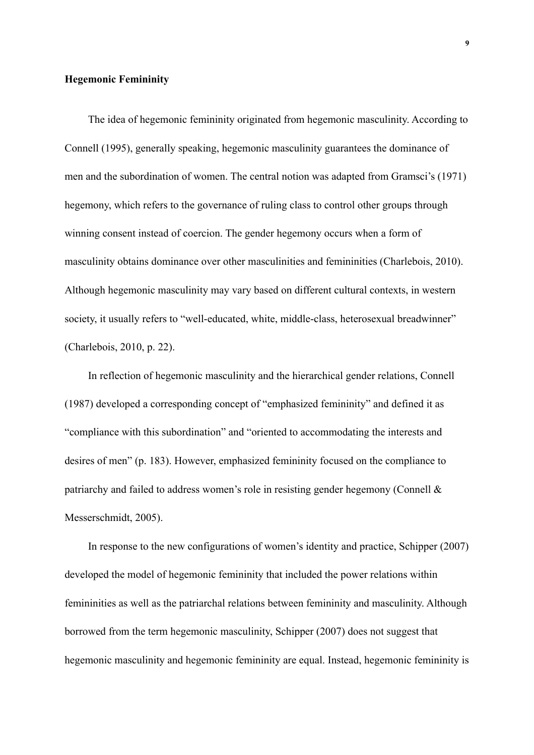#### **Hegemonic Femininity**

The idea of hegemonic femininity originated from hegemonic masculinity. According to Connell (1995), generally speaking, hegemonic masculinity guarantees the dominance of men and the subordination of women. The central notion was adapted from Gramsci's (1971) hegemony, which refers to the governance of ruling class to control other groups through winning consent instead of coercion. The gender hegemony occurs when a form of masculinity obtains dominance over other masculinities and femininities (Charlebois, 2010). Although hegemonic masculinity may vary based on different cultural contexts, in western society, it usually refers to "well-educated, white, middle-class, heterosexual breadwinner" (Charlebois, 2010, p. 22).

In reflection of hegemonic masculinity and the hierarchical gender relations, Connell (1987) developed a corresponding concept of "emphasized femininity" and defined it as "compliance with this subordination" and "oriented to accommodating the interests and desires of men" (p. 183). However, emphasized femininity focused on the compliance to patriarchy and failed to address women's role in resisting gender hegemony (Connell & Messerschmidt, 2005).

In response to the new configurations of women's identity and practice, Schipper (2007) developed the model of hegemonic femininity that included the power relations within femininities as well as the patriarchal relations between femininity and masculinity. Although borrowed from the term hegemonic masculinity, Schipper (2007) does not suggest that hegemonic masculinity and hegemonic femininity are equal. Instead, hegemonic femininity is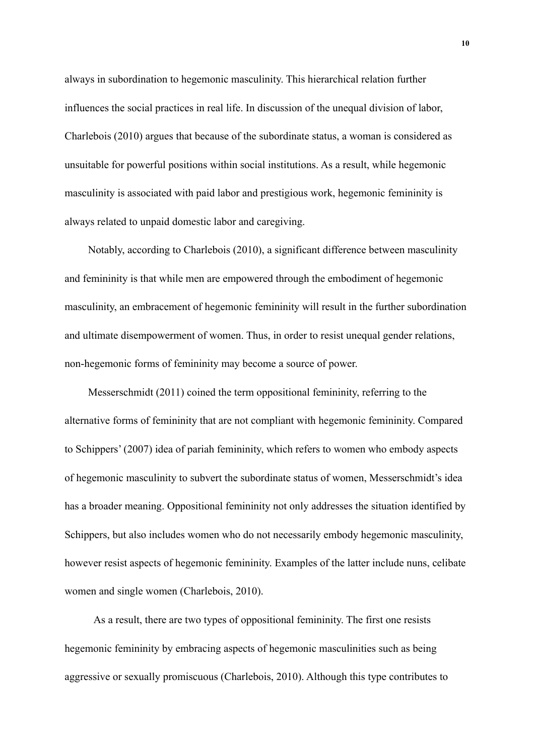always in subordination to hegemonic masculinity. This hierarchical relation further influences the social practices in real life. In discussion of the unequal division of labor, Charlebois (2010) argues that because of the subordinate status, a woman is considered as unsuitable for powerful positions within social institutions. As a result, while hegemonic masculinity is associated with paid labor and prestigious work, hegemonic femininity is always related to unpaid domestic labor and caregiving.

Notably, according to Charlebois (2010), a significant difference between masculinity and femininity is that while men are empowered through the embodiment of hegemonic masculinity, an embracement of hegemonic femininity will result in the further subordination and ultimate disempowerment of women. Thus, in order to resist unequal gender relations, non-hegemonic forms of femininity may become a source of power.

Messerschmidt (2011) coined the term oppositional femininity, referring to the alternative forms of femininity that are not compliant with hegemonic femininity. Compared to Schippers' (2007) idea of pariah femininity, which refers to women who embody aspects of hegemonic masculinity to subvert the subordinate status of women, Messerschmidt's idea has a broader meaning. Oppositional femininity not only addresses the situation identified by Schippers, but also includes women who do not necessarily embody hegemonic masculinity, however resist aspects of hegemonic femininity. Examples of the latter include nuns, celibate women and single women (Charlebois, 2010).

As a result, there are two types of oppositional femininity. The first one resists hegemonic femininity by embracing aspects of hegemonic masculinities such as being aggressive or sexually promiscuous (Charlebois, 2010). Although this type contributes to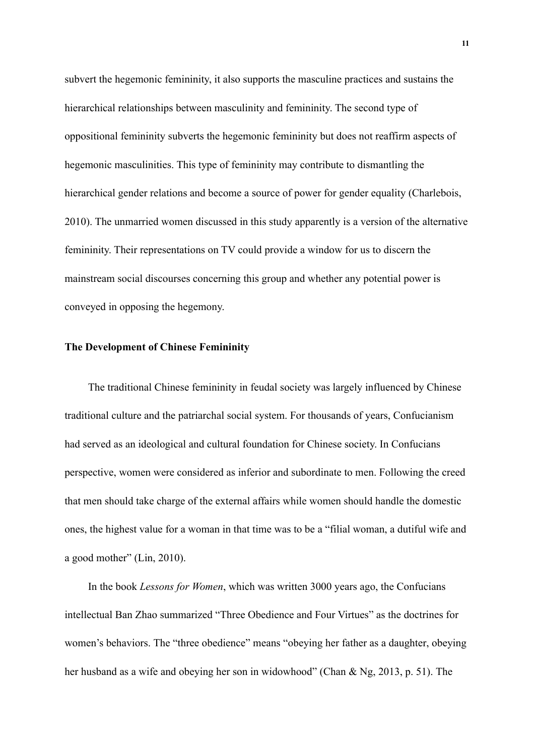subvert the hegemonic femininity, it also supports the masculine practices and sustains the hierarchical relationships between masculinity and femininity. The second type of oppositional femininity subverts the hegemonic femininity but does not reaffirm aspects of hegemonic masculinities. This type of femininity may contribute to dismantling the hierarchical gender relations and become a source of power for gender equality (Charlebois, 2010). The unmarried women discussed in this study apparently is a version of the alternative femininity. Their representations on TV could provide a window for us to discern the mainstream social discourses concerning this group and whether any potential power is conveyed in opposing the hegemony.

#### **The Development of Chinese Femininity**

The traditional Chinese femininity in feudal society was largely influenced by Chinese traditional culture and the patriarchal social system. For thousands of years, Confucianism had served as an ideological and cultural foundation for Chinese society. In Confucians perspective, women were considered as inferior and subordinate to men. Following the creed that men should take charge of the external affairs while women should handle the domestic ones, the highest value for a woman in that time was to be a "filial woman, a dutiful wife and a good mother" (Lin, 2010).

In the book *Lessons for Women*, which was written 3000 years ago, the Confucians intellectual Ban Zhao summarized "Three Obedience and Four Virtues" as the doctrines for women's behaviors. The "three obedience" means "obeying her father as a daughter, obeying her husband as a wife and obeying her son in widowhood" (Chan & Ng, 2013, p. 51). The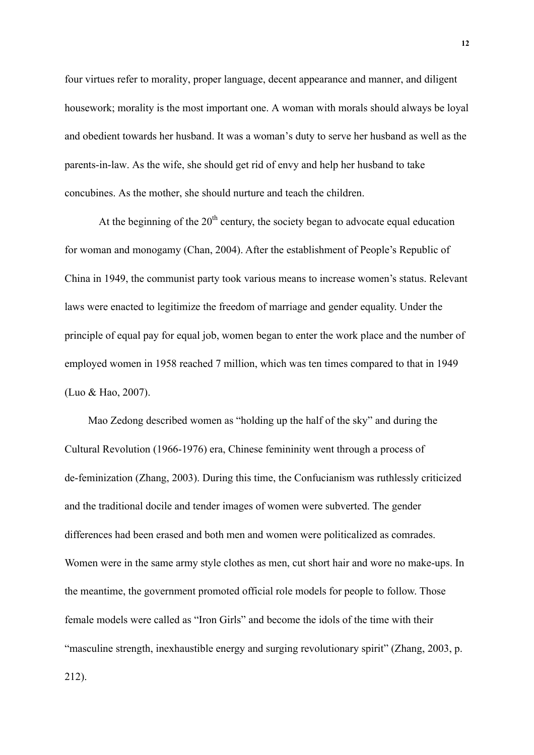four virtues refer to morality, proper language, decent appearance and manner, and diligent housework; morality is the most important one. A woman with morals should always be loyal and obedient towards her husband. It was a woman's duty to serve her husband as well as the parents-in-law. As the wife, she should get rid of envy and help her husband to take concubines. As the mother, she should nurture and teach the children.

At the beginning of the  $20<sup>th</sup>$  century, the society began to advocate equal education for woman and monogamy (Chan, 2004). After the establishment of People's Republic of China in 1949, the communist party took various means to increase women's status. Relevant laws were enacted to legitimize the freedom of marriage and gender equality. Under the principle of equal pay for equal job, women began to enter the work place and the number of employed women in 1958 reached 7 million, which was ten times compared to that in 1949 (Luo & Hao, 2007).

Mao Zedong described women as "holding up the half of the sky" and during the Cultural Revolution (1966-1976) era, Chinese femininity went through a process of de-feminization (Zhang, 2003). During this time, the Confucianism was ruthlessly criticized and the traditional docile and tender images of women were subverted. The gender differences had been erased and both men and women were politicalized as comrades. Women were in the same army style clothes as men, cut short hair and wore no make-ups. In the meantime, the government promoted official role models for people to follow. Those female models were called as "Iron Girls" and become the idols of the time with their "masculine strength, inexhaustible energy and surging revolutionary spirit" (Zhang, 2003, p. 212).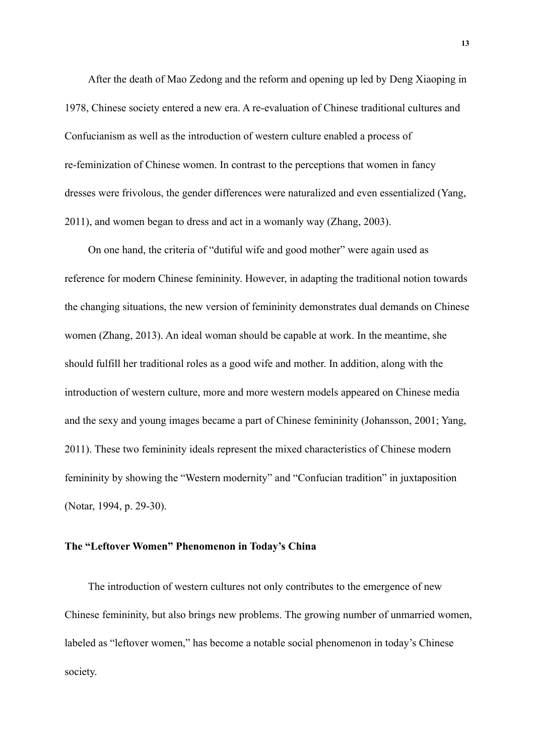After the death of Mao Zedong and the reform and opening up led by Deng Xiaoping in 1978, Chinese society entered a new era. A re-evaluation of Chinese traditional cultures and Confucianism as well as the introduction of western culture enabled a process of re-feminization of Chinese women. In contrast to the perceptions that women in fancy dresses were frivolous, the gender differences were naturalized and even essentialized (Yang, 2011), and women began to dress and act in a womanly way (Zhang, 2003).

On one hand, the criteria of "dutiful wife and good mother" were again used as reference for modern Chinese femininity. However, in adapting the traditional notion towards the changing situations, the new version of femininity demonstrates dual demands on Chinese women (Zhang, 2013). An ideal woman should be capable at work. In the meantime, she should fulfill her traditional roles as a good wife and mother. In addition, along with the introduction of western culture, more and more western models appeared on Chinese media and the sexy and young images became a part of Chinese femininity (Johansson, 2001; Yang, 2011). These two femininity ideals represent the mixed characteristics of Chinese modern femininity by showing the "Western modernity" and "Confucian tradition" in juxtaposition (Notar, 1994, p. 29-30).

#### **The "Leftover Women" Phenomenon in Today's China**

The introduction of western cultures not only contributes to the emergence of new Chinese femininity, but also brings new problems. The growing number of unmarried women, labeled as "leftover women," has become a notable social phenomenon in today's Chinese society.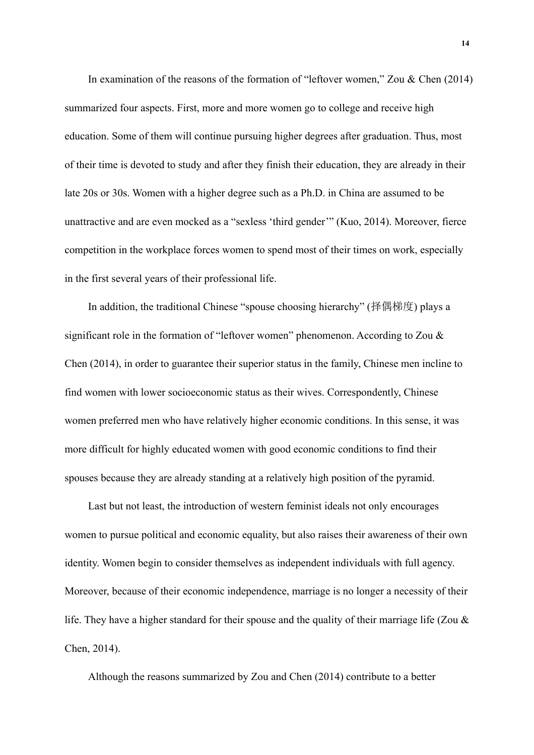In examination of the reasons of the formation of "leftover women," Zou & Chen (2014) summarized four aspects. First, more and more women go to college and receive high education. Some of them will continue pursuing higher degrees after graduation. Thus, most of their time is devoted to study and after they finish their education, they are already in their late 20s or 30s. Women with a higher degree such as a Ph.D. in China are assumed to be unattractive and are even mocked as a "sexless 'third gender'" (Kuo, 2014). Moreover, fierce competition in the workplace forces women to spend most of their times on work, especially in the first several years of their professional life.

In addition, the traditional Chinese "spouse choosing hierarchy" (择偶梯度) plays a significant role in the formation of "leftover women" phenomenon. According to Zou & Chen (2014), in order to guarantee their superior status in the family, Chinese men incline to find women with lower socioeconomic status as their wives. Correspondently, Chinese women preferred men who have relatively higher economic conditions. In this sense, it was more difficult for highly educated women with good economic conditions to find their spouses because they are already standing at a relatively high position of the pyramid.

Last but not least, the introduction of western feminist ideals not only encourages women to pursue political and economic equality, but also raises their awareness of their own identity. Women begin to consider themselves as independent individuals with full agency. Moreover, because of their economic independence, marriage is no longer a necessity of their life. They have a higher standard for their spouse and the quality of their marriage life (Zou  $\&$ Chen, 2014).

Although the reasons summarized by Zou and Chen (2014) contribute to a better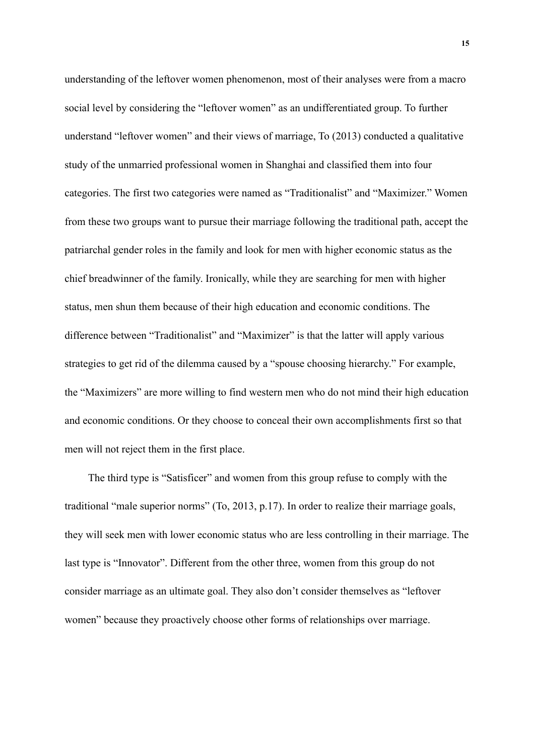understanding of the leftover women phenomenon, most of their analyses were from a macro social level by considering the "leftover women" as an undifferentiated group. To further understand "leftover women" and their views of marriage, To (2013) conducted a qualitative study of the unmarried professional women in Shanghai and classified them into four categories. The first two categories were named as "Traditionalist" and "Maximizer." Women from these two groups want to pursue their marriage following the traditional path, accept the patriarchal gender roles in the family and look for men with higher economic status as the chief breadwinner of the family. Ironically, while they are searching for men with higher status, men shun them because of their high education and economic conditions. The difference between "Traditionalist" and "Maximizer" is that the latter will apply various strategies to get rid of the dilemma caused by a "spouse choosing hierarchy." For example, the "Maximizers" are more willing to find western men who do not mind their high education and economic conditions. Or they choose to conceal their own accomplishments first so that men will not reject them in the first place.

The third type is "Satisficer" and women from this group refuse to comply with the traditional "male superior norms" (To, 2013, p.17). In order to realize their marriage goals, they will seek men with lower economic status who are less controlling in their marriage. The last type is "Innovator". Different from the other three, women from this group do not consider marriage as an ultimate goal. They also don't consider themselves as "leftover women" because they proactively choose other forms of relationships over marriage.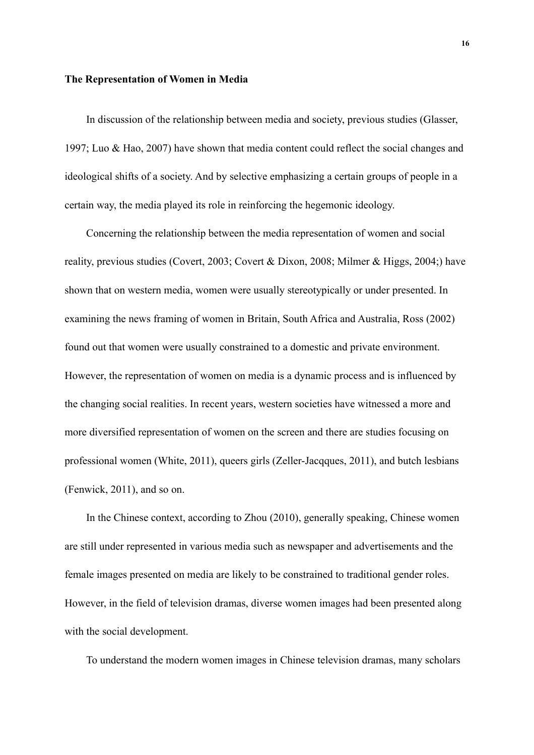#### **The Representation of Women in Media**

In discussion of the relationship between media and society, previous studies (Glasser, 1997; Luo & Hao, 2007) have shown that media content could reflect the social changes and ideological shifts of a society. And by selective emphasizing a certain groups of people in a certain way, the media played its role in reinforcing the hegemonic ideology.

Concerning the relationship between the media representation of women and social reality, previous studies (Covert, 2003; Covert & Dixon, 2008; Milmer & Higgs, 2004;) have shown that on western media, women were usually stereotypically or under presented. In examining the news framing of women in Britain, South Africa and Australia, Ross (2002) found out that women were usually constrained to a domestic and private environment. However, the representation of women on media is a dynamic process and is influenced by the changing social realities. In recent years, western societies have witnessed a more and more diversified representation of women on the screen and there are studies focusing on professional women (White, 2011), queers girls (Zeller-Jacqques, 2011), and butch lesbians (Fenwick, 2011), and so on.

In the Chinese context, according to Zhou (2010), generally speaking, Chinese women are still under represented in various media such as newspaper and advertisements and the female images presented on media are likely to be constrained to traditional gender roles. However, in the field of television dramas, diverse women images had been presented along with the social development.

To understand the modern women images in Chinese television dramas, many scholars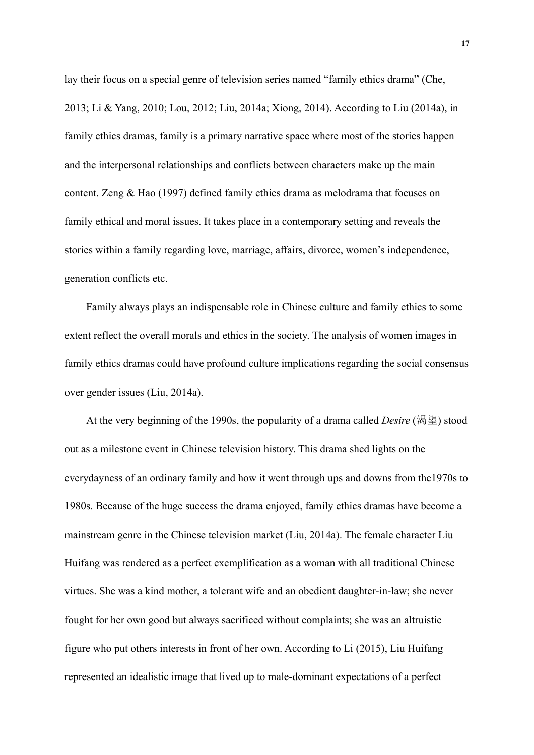lay their focus on a special genre of television series named "family ethics drama" (Che, 2013; Li & Yang, 2010; Lou, 2012; Liu, 2014a; Xiong, 2014). According to Liu (2014a), in family ethics dramas, family is a primary narrative space where most of the stories happen and the interpersonal relationships and conflicts between characters make up the main content. Zeng & Hao (1997) defined family ethics drama as melodrama that focuses on family ethical and moral issues. It takes place in a contemporary setting and reveals the stories within a family regarding love, marriage, affairs, divorce, women's independence, generation conflicts etc.

Family always plays an indispensable role in Chinese culture and family ethics to some extent reflect the overall morals and ethics in the society. The analysis of women images in family ethics dramas could have profound culture implications regarding the social consensus over gender issues (Liu, 2014a).

At the very beginning of the 1990s, the popularity of a drama called *Desire* (渴望) stood out as a milestone event in Chinese television history. This drama shed lights on the everydayness of an ordinary family and how it went through ups and downs from the1970s to 1980s. Because of the huge success the drama enjoyed, family ethics dramas have become a mainstream genre in the Chinese television market (Liu, 2014a). The female character Liu Huifang was rendered as a perfect exemplification as a woman with all traditional Chinese virtues. She was a kind mother, a tolerant wife and an obedient daughter-in-law; she never fought for her own good but always sacrificed without complaints; she was an altruistic figure who put others interests in front of her own. According to Li (2015), Liu Huifang represented an idealistic image that lived up to male-dominant expectations of a perfect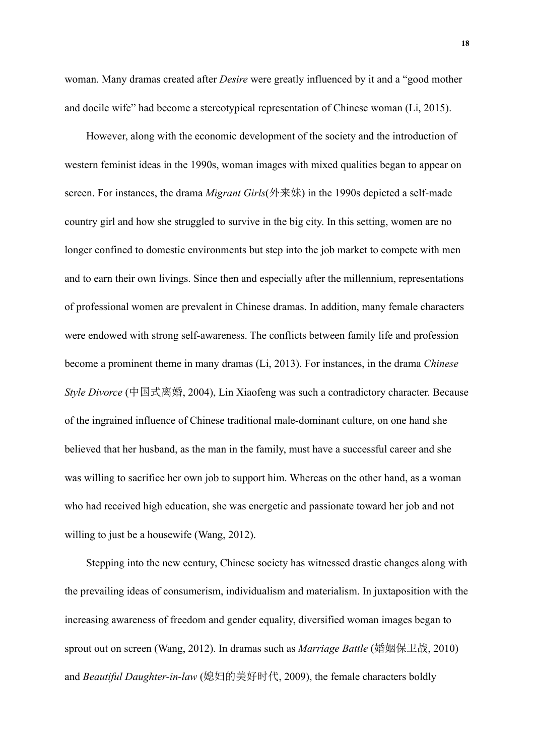woman. Many dramas created after *Desire* were greatly influenced by it and a "good mother and docile wife" had become a stereotypical representation of Chinese woman (Li, 2015).

However, along with the economic development of the society and the introduction of western feminist ideas in the 1990s, woman images with mixed qualities began to appear on screen. For instances, the drama *Migrant Girls*(外来妹) in the 1990s depicted a self-made country girl and how she struggled to survive in the big city. In this setting, women are no longer confined to domestic environments but step into the job market to compete with men and to earn their own livings. Since then and especially after the millennium, representations of professional women are prevalent in Chinese dramas. In addition, many female characters were endowed with strong self-awareness. The conflicts between family life and profession become a prominent theme in many dramas (Li, 2013). For instances, in the drama *Chinese Style Divorce* (中国式离婚, 2004), Lin Xiaofeng was such a contradictory character. Because of the ingrained influence of Chinese traditional male-dominant culture, on one hand she believed that her husband, as the man in the family, must have a successful career and she was willing to sacrifice her own job to support him. Whereas on the other hand, as a woman who had received high education, she was energetic and passionate toward her job and not willing to just be a housewife (Wang, 2012).

Stepping into the new century, Chinese society has witnessed drastic changes along with the prevailing ideas of consumerism, individualism and materialism. In juxtaposition with the increasing awareness of freedom and gender equality, diversified woman images began to sprout out on screen (Wang, 2012). In dramas such as *Marriage Battle* (婚姻保卫战, 2010) and *Beautiful Daughter-in-law* (媳妇的美好时代, 2009), the female characters boldly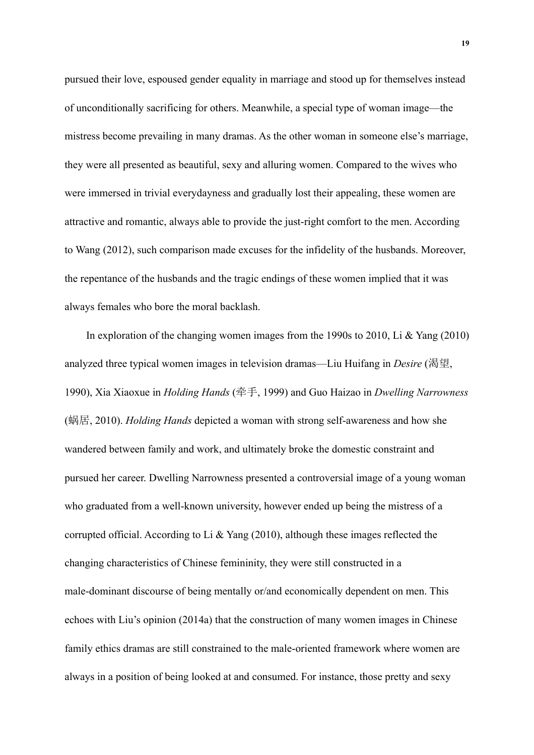pursued their love, espoused gender equality in marriage and stood up for themselves instead of unconditionally sacrificing for others. Meanwhile, a special type of woman image—the mistress become prevailing in many dramas. As the other woman in someone else's marriage, they were all presented as beautiful, sexy and alluring women. Compared to the wives who were immersed in trivial everydayness and gradually lost their appealing, these women are attractive and romantic, always able to provide the just-right comfort to the men. According to Wang (2012), such comparison made excuses for the infidelity of the husbands. Moreover, the repentance of the husbands and the tragic endings of these women implied that it was always females who bore the moral backlash.

In exploration of the changing women images from the 1990s to 2010, Li & Yang (2010) analyzed three typical women images in television dramas—Liu Huifang in *Desire* (渴望, 1990), Xia Xiaoxue in *Holding Hands* (牵手, 1999) and Guo Haizao in *Dwelling Narrowness* (蜗居, 2010). *Holding Hands* depicted a woman with strong self-awareness and how she wandered between family and work, and ultimately broke the domestic constraint and pursued her career. Dwelling Narrowness presented a controversial image of a young woman who graduated from a well-known university, however ended up being the mistress of a corrupted official. According to Li & Yang (2010), although these images reflected the changing characteristics of Chinese femininity, they were still constructed in a male-dominant discourse of being mentally or/and economically dependent on men. This echoes with Liu's opinion (2014a) that the construction of many women images in Chinese family ethics dramas are still constrained to the male-oriented framework where women are always in a position of being looked at and consumed. For instance, those pretty and sexy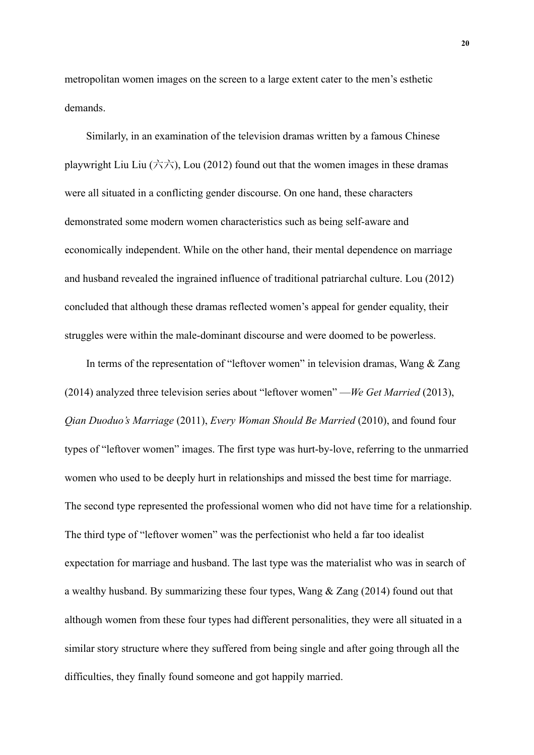metropolitan women images on the screen to a large extent cater to the men's esthetic demands.

Similarly, in an examination of the television dramas written by a famous Chinese playwright Liu Liu  $(\overrightarrow{\triangle} \overrightarrow{\triangle})$ , Lou (2012) found out that the women images in these dramas were all situated in a conflicting gender discourse. On one hand, these characters demonstrated some modern women characteristics such as being self-aware and economically independent. While on the other hand, their mental dependence on marriage and husband revealed the ingrained influence of traditional patriarchal culture. Lou (2012) concluded that although these dramas reflected women's appeal for gender equality, their struggles were within the male-dominant discourse and were doomed to be powerless.

In terms of the representation of "leftover women" in television dramas, Wang & Zang (2014) analyzed three television series about "leftover women" —*We Get Married* (2013), *Qian Duoduo's Marriage* (2011), *Every Woman Should Be Married* (2010), and found four types of "leftover women" images. The first type was hurt-by-love, referring to the unmarried women who used to be deeply hurt in relationships and missed the best time for marriage. The second type represented the professional women who did not have time for a relationship. The third type of "leftover women" was the perfectionist who held a far too idealist expectation for marriage and husband. The last type was the materialist who was in search of a wealthy husband. By summarizing these four types, Wang & Zang (2014) found out that although women from these four types had different personalities, they were all situated in a similar story structure where they suffered from being single and after going through all the difficulties, they finally found someone and got happily married.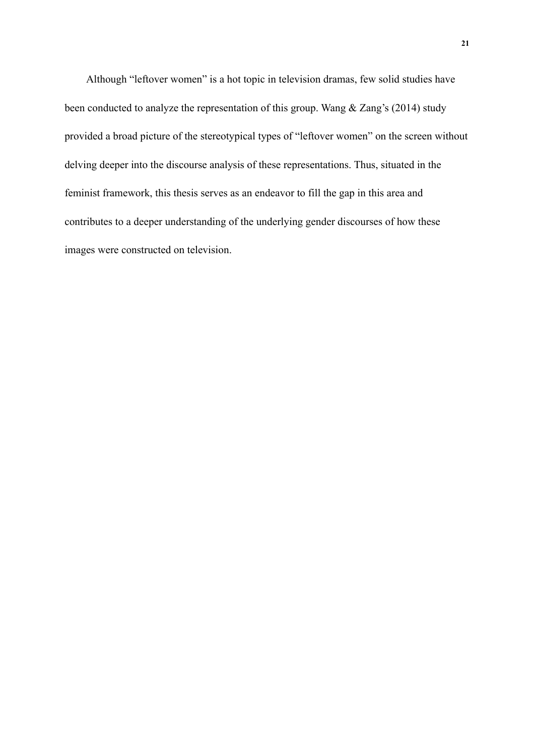Although "leftover women" is a hot topic in television dramas, few solid studies have been conducted to analyze the representation of this group. Wang & Zang's (2014) study provided a broad picture of the stereotypical types of "leftover women" on the screen without delving deeper into the discourse analysis of these representations. Thus, situated in the feminist framework, this thesis serves as an endeavor to fill the gap in this area and contributes to a deeper understanding of the underlying gender discourses of how these images were constructed on television.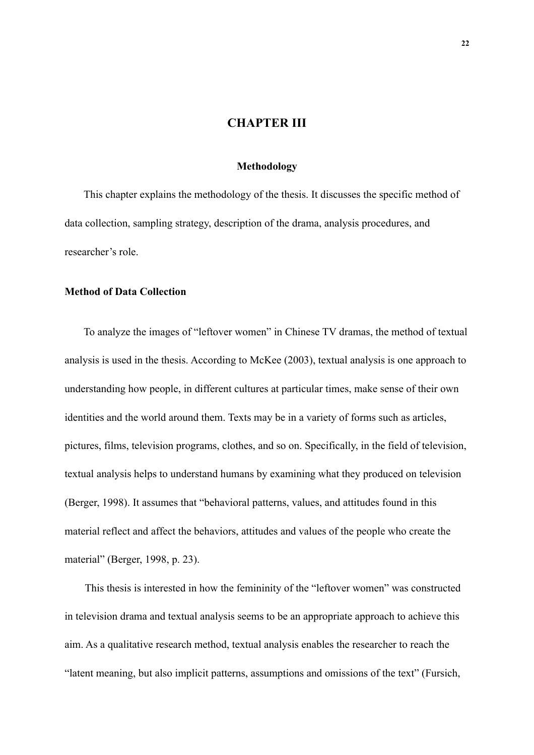# **CHAPTER III**

#### **Methodology**

This chapter explains the methodology of the thesis. It discusses the specific method of data collection, sampling strategy, description of the drama, analysis procedures, and researcher's role.

# **Method of Data Collection**

To analyze the images of "leftover women" in Chinese TV dramas, the method of textual analysis is used in the thesis. According to McKee (2003), textual analysis is one approach to understanding how people, in different cultures at particular times, make sense of their own identities and the world around them. Texts may be in a variety of forms such as articles, pictures, films, television programs, clothes, and so on. Specifically, in the field of television, textual analysis helps to understand humans by examining what they produced on television (Berger, 1998). It assumes that "behavioral patterns, values, and attitudes found in this material reflect and affect the behaviors, attitudes and values of the people who create the material" (Berger, 1998, p. 23).

This thesis is interested in how the femininity of the "leftover women" was constructed in television drama and textual analysis seems to be an appropriate approach to achieve this aim. As a qualitative research method, textual analysis enables the researcher to reach the "latent meaning, but also implicit patterns, assumptions and omissions of the text" (Fursich,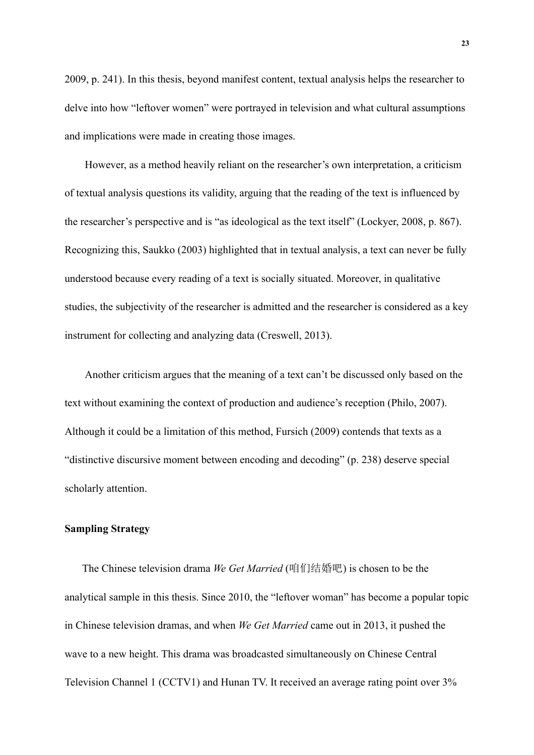2009, p. 241). In this thesis, beyond manifest content, textual analysis helps the researcher to delve into how "leftover women" were portrayed in television and what cultural assumptions and implications were made in creating those images.

However, as a method heavily reliant on the researcher's own interpretation, a criticism of textual analysis questions its validity, arguing that the reading of the text is influenced by the researcher's perspective and is "as ideological as the text itself" (Lockyer, 2008, p. 867). Recognizing this, Saukko (2003) highlighted that in textual analysis, a text can never be fully understood because every reading of a text is socially situated. Moreover, in qualitative studies, the subjectivity of the researcher is admitted and the researcher is considered as a key instrument for collecting and analyzing data (Creswell, 2013).

Another criticism argues that the meaning of a text can't be discussed only based on the text without examining the context of production and audience's reception (Philo, 2007). Although it could be a limitation of this method, Fursich (2009) contends that texts as a "distinctive discursive moment between encoding and decoding" (p. 238) deserve special scholarly attention.

## **Sampling Strategy**

The Chinese television drama *We Get Married* (咱们结婚吧) is chosen to be the analytical sample in this thesis. Since 2010, the "leftover woman" has become a popular topic in Chinese television dramas, and when *We Get Married* came out in 2013, it pushed the wave to a new height. This drama was broadcasted simultaneously on Chinese Central Television Channel 1 (CCTV1) and Hunan TV. It received an average rating point over 3%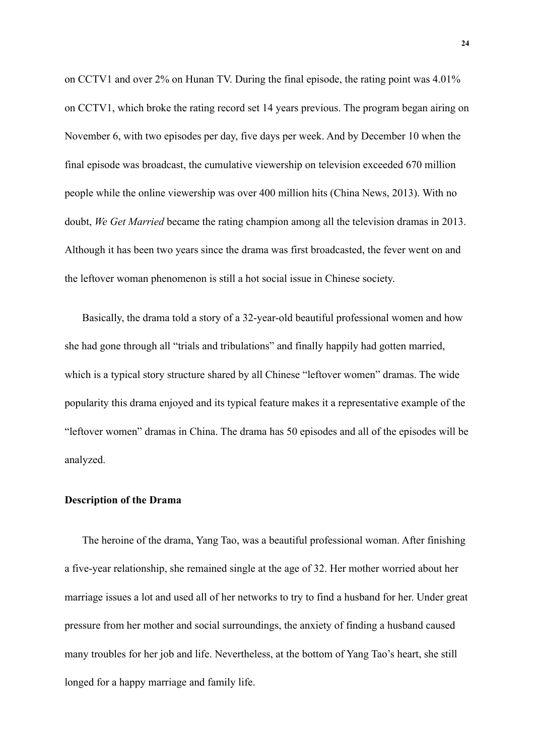on CCTV1 and over 2% on Hunan TV. During the final episode, the rating point was 4.01% on CCTV1, which broke the rating record set 14 years previous. The program began airing on November 6, with two episodes per day, five days per week. And by December 10 when the final episode was broadcast, the cumulative viewership on television exceeded 670 million people while the online viewership was over 400 million hits (China News, 2013). With no doubt, *We Get Married* became the rating champion among all the television dramas in 2013. Although it has been two years since the drama was first broadcasted, the fever went on and the leftover woman phenomenon is still a hot social issue in Chinese society.

Basically, the drama told a story of a 32-year-old beautiful professional women and how she had gone through all "trials and tribulations" and finally happily had gotten married, which is a typical story structure shared by all Chinese "leftover women" dramas. The wide popularity this drama enjoyed and its typical feature makes it a representative example of the "leftover women" dramas in China. The drama has 50 episodes and all of the episodes will be analyzed.

#### **Description of the Drama**

The heroine of the drama, Yang Tao, was a beautiful professional woman. After finishing a five-year relationship, she remained single at the age of 32. Her mother worried about her marriage issues a lot and used all of her networks to try to find a husband for her. Under great pressure from her mother and social surroundings, the anxiety of finding a husband caused many troubles for her job and life. Nevertheless, at the bottom of Yang Tao's heart, she still longed for a happy marriage and family life.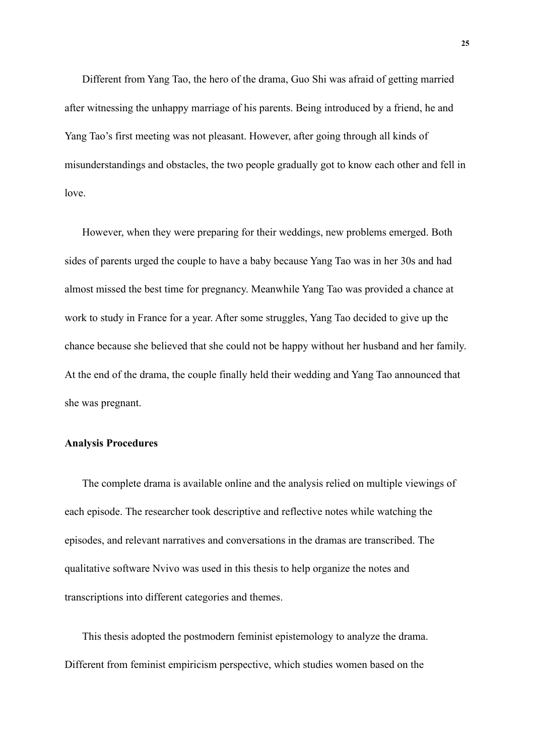Different from Yang Tao, the hero of the drama, Guo Shi was afraid of getting married after witnessing the unhappy marriage of his parents. Being introduced by a friend, he and Yang Tao's first meeting was not pleasant. However, after going through all kinds of misunderstandings and obstacles, the two people gradually got to know each other and fell in love.

However, when they were preparing for their weddings, new problems emerged. Both sides of parents urged the couple to have a baby because Yang Tao was in her 30s and had almost missed the best time for pregnancy. Meanwhile Yang Tao was provided a chance at work to study in France for a year. After some struggles, Yang Tao decided to give up the chance because she believed that she could not be happy without her husband and her family. At the end of the drama, the couple finally held their wedding and Yang Tao announced that she was pregnant.

#### **Analysis Procedures**

The complete drama is available online and the analysis relied on multiple viewings of each episode. The researcher took descriptive and reflective notes while watching the episodes, and relevant narratives and conversations in the dramas are transcribed. The qualitative software Nvivo was used in this thesis to help organize the notes and transcriptions into different categories and themes.

This thesis adopted the postmodern feminist epistemology to analyze the drama. Different from feminist empiricism perspective, which studies women based on the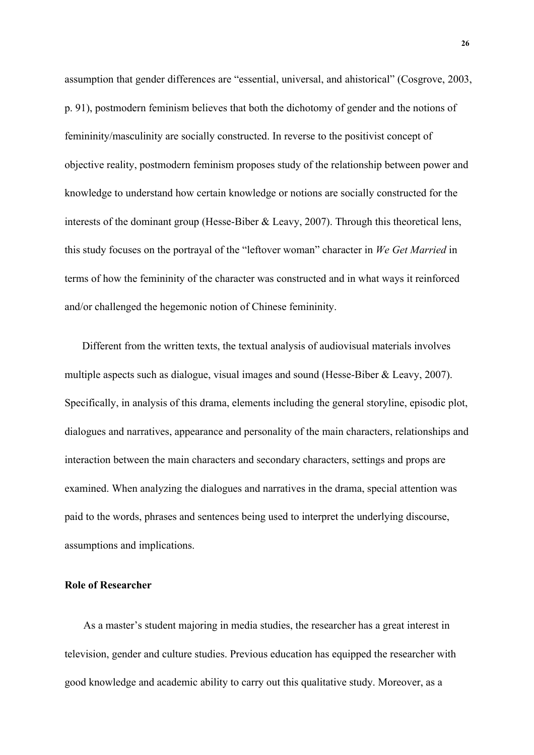assumption that gender differences are "essential, universal, and ahistorical" (Cosgrove, 2003, p. 91), postmodern feminism believes that both the dichotomy of gender and the notions of femininity/masculinity are socially constructed. In reverse to the positivist concept of objective reality, postmodern feminism proposes study of the relationship between power and knowledge to understand how certain knowledge or notions are socially constructed for the interests of the dominant group (Hesse-Biber & Leavy, 2007). Through this theoretical lens, this study focuses on the portrayal of the "leftover woman" character in *We Get Married* in terms of how the femininity of the character was constructed and in what ways it reinforced and/or challenged the hegemonic notion of Chinese femininity.

Different from the written texts, the textual analysis of audiovisual materials involves multiple aspects such as dialogue, visual images and sound (Hesse-Biber & Leavy, 2007). Specifically, in analysis of this drama, elements including the general storyline, episodic plot, dialogues and narratives, appearance and personality of the main characters, relationships and interaction between the main characters and secondary characters, settings and props are examined. When analyzing the dialogues and narratives in the drama, special attention was paid to the words, phrases and sentences being used to interpret the underlying discourse, assumptions and implications.

# **Role of Researcher**

As a master's student majoring in media studies, the researcher has a great interest in television, gender and culture studies. Previous education has equipped the researcher with good knowledge and academic ability to carry out this qualitative study. Moreover, as a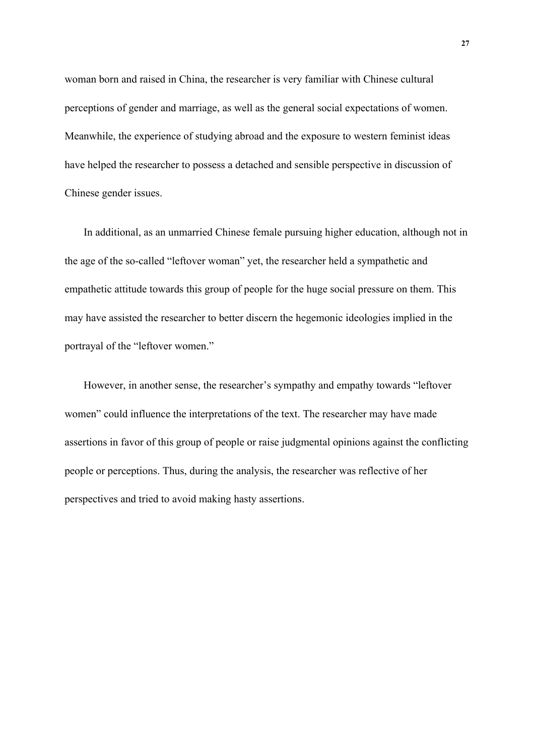woman born and raised in China, the researcher is very familiar with Chinese cultural perceptions of gender and marriage, as well as the general social expectations of women. Meanwhile, the experience of studying abroad and the exposure to western feminist ideas have helped the researcher to possess a detached and sensible perspective in discussion of Chinese gender issues.

In additional, as an unmarried Chinese female pursuing higher education, although not in the age of the so-called "leftover woman" yet, the researcher held a sympathetic and empathetic attitude towards this group of people for the huge social pressure on them. This may have assisted the researcher to better discern the hegemonic ideologies implied in the portrayal of the "leftover women."

However, in another sense, the researcher's sympathy and empathy towards "leftover women" could influence the interpretations of the text. The researcher may have made assertions in favor of this group of people or raise judgmental opinions against the conflicting people or perceptions. Thus, during the analysis, the researcher was reflective of her perspectives and tried to avoid making hasty assertions.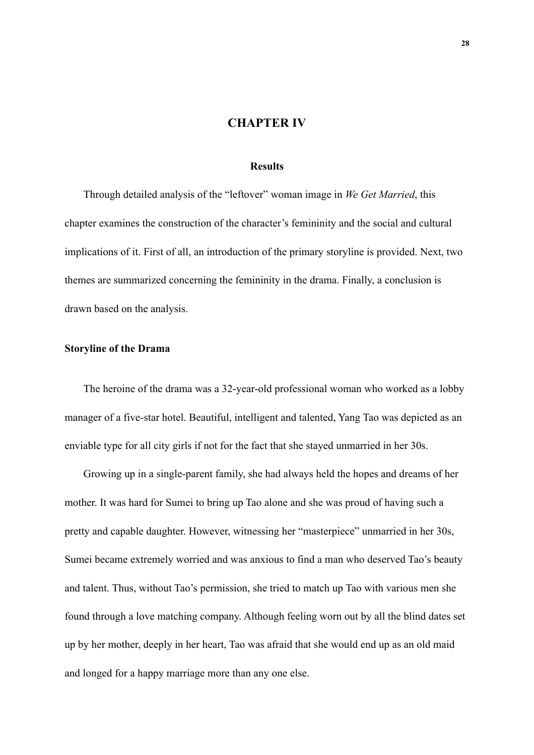# **CHAPTER IV**

### **Results**

Through detailed analysis of the "leftover" woman image in *We Get Married*, this chapter examines the construction of the character's femininity and the social and cultural implications of it. First of all, an introduction of the primary storyline is provided. Next, two themes are summarized concerning the femininity in the drama. Finally, a conclusion is drawn based on the analysis.

# **Storyline of the Drama**

The heroine of the drama was a 32-year-old professional woman who worked as a lobby manager of a five-star hotel. Beautiful, intelligent and talented, Yang Tao was depicted as an enviable type for all city girls if not for the fact that she stayed unmarried in her 30s.

Growing up in a single-parent family, she had always held the hopes and dreams of her mother. It was hard for Sumei to bring up Tao alone and she was proud of having such a pretty and capable daughter. However, witnessing her "masterpiece" unmarried in her 30s, Sumei became extremely worried and was anxious to find a man who deserved Tao's beauty and talent. Thus, without Tao's permission, she tried to match up Tao with various men she found through a love matching company. Although feeling worn out by all the blind dates set up by her mother, deeply in her heart, Tao was afraid that she would end up as an old maid and longed for a happy marriage more than any one else.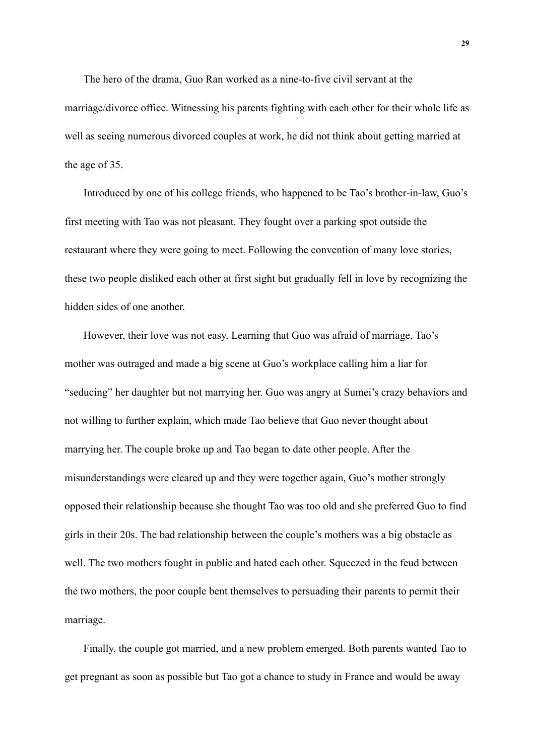The hero of the drama, Guo Ran worked as a nine-to-five civil servant at the marriage/divorce office. Witnessing his parents fighting with each other for their whole life as well as seeing numerous divorced couples at work, he did not think about getting married at the age of 35.

Introduced by one of his college friends, who happened to be Tao's brother-in-law, Guo's first meeting with Tao was not pleasant. They fought over a parking spot outside the restaurant where they were going to meet. Following the convention of many love stories, these two people disliked each other at first sight but gradually fell in love by recognizing the hidden sides of one another.

However, their love was not easy. Learning that Guo was afraid of marriage, Tao's mother was outraged and made a big scene at Guo's workplace calling him a liar for "seducing" her daughter but not marrying her. Guo was angry at Sumei's crazy behaviors and not willing to further explain, which made Tao believe that Guo never thought about marrying her. The couple broke up and Tao began to date other people. After the misunderstandings were cleared up and they were together again, Guo's mother strongly opposed their relationship because she thought Tao was too old and she preferred Guo to find girls in their 20s. The bad relationship between the couple's mothers was a big obstacle as well. The two mothers fought in public and hated each other. Squeezed in the feud between the two mothers, the poor couple bent themselves to persuading their parents to permit their marriage.

Finally, the couple got married, and a new problem emerged. Both parents wanted Tao to get pregnant as soon as possible but Tao got a chance to study in France and would be away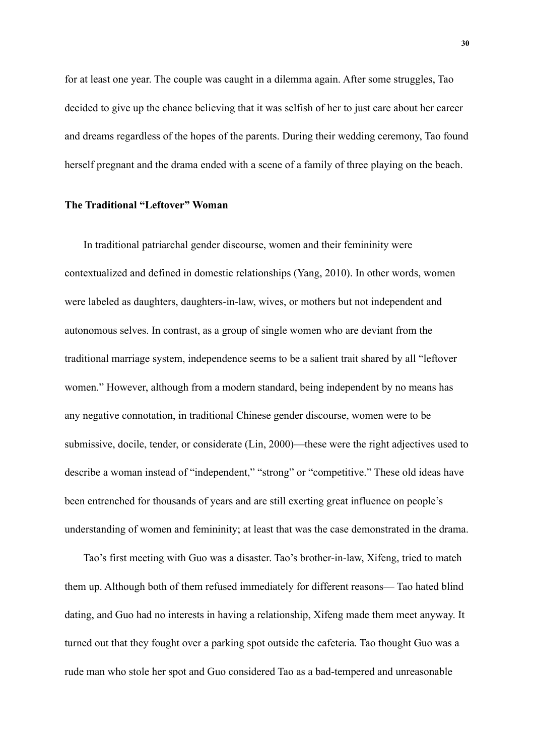for at least one year. The couple was caught in a dilemma again. After some struggles, Tao decided to give up the chance believing that it was selfish of her to just care about her career and dreams regardless of the hopes of the parents. During their wedding ceremony, Tao found herself pregnant and the drama ended with a scene of a family of three playing on the beach.

#### **The Traditional "Leftover" Woman**

In traditional patriarchal gender discourse, women and their femininity were contextualized and defined in domestic relationships (Yang, 2010). In other words, women were labeled as daughters, daughters-in-law, wives, or mothers but not independent and autonomous selves. In contrast, as a group of single women who are deviant from the traditional marriage system, independence seems to be a salient trait shared by all "leftover women." However, although from a modern standard, being independent by no means has any negative connotation, in traditional Chinese gender discourse, women were to be submissive, docile, tender, or considerate (Lin, 2000)—these were the right adjectives used to describe a woman instead of "independent," "strong" or "competitive." These old ideas have been entrenched for thousands of years and are still exerting great influence on people's understanding of women and femininity; at least that was the case demonstrated in the drama.

Tao's first meeting with Guo was a disaster. Tao's brother-in-law, Xifeng, tried to match them up. Although both of them refused immediately for different reasons— Tao hated blind dating, and Guo had no interests in having a relationship, Xifeng made them meet anyway. It turned out that they fought over a parking spot outside the cafeteria. Tao thought Guo was a rude man who stole her spot and Guo considered Tao as a bad-tempered and unreasonable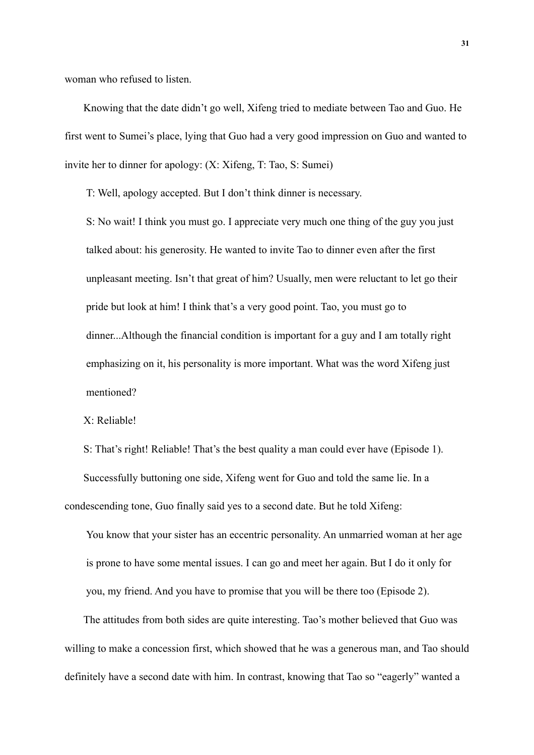woman who refused to listen.

Knowing that the date didn't go well, Xifeng tried to mediate between Tao and Guo. He first went to Sumei's place, lying that Guo had a very good impression on Guo and wanted to invite her to dinner for apology: (X: Xifeng, T: Tao, S: Sumei)

T: Well, apology accepted. But I don't think dinner is necessary.

S: No wait! I think you must go. I appreciate very much one thing of the guy you just talked about: his generosity. He wanted to invite Tao to dinner even after the first unpleasant meeting. Isn't that great of him? Usually, men were reluctant to let go their pride but look at him! I think that's a very good point. Tao, you must go to dinner...Although the financial condition is important for a guy and I am totally right emphasizing on it, his personality is more important. What was the word Xifeng just mentioned?

X: Reliable!

S: That's right! Reliable! That's the best quality a man could ever have (Episode 1). Successfully buttoning one side, Xifeng went for Guo and told the same lie. In a condescending tone, Guo finally said yes to a second date. But he told Xifeng:

You know that your sister has an eccentric personality. An unmarried woman at her age is prone to have some mental issues. I can go and meet her again. But I do it only for you, my friend. And you have to promise that you will be there too (Episode 2).

The attitudes from both sides are quite interesting. Tao's mother believed that Guo was willing to make a concession first, which showed that he was a generous man, and Tao should definitely have a second date with him. In contrast, knowing that Tao so "eagerly" wanted a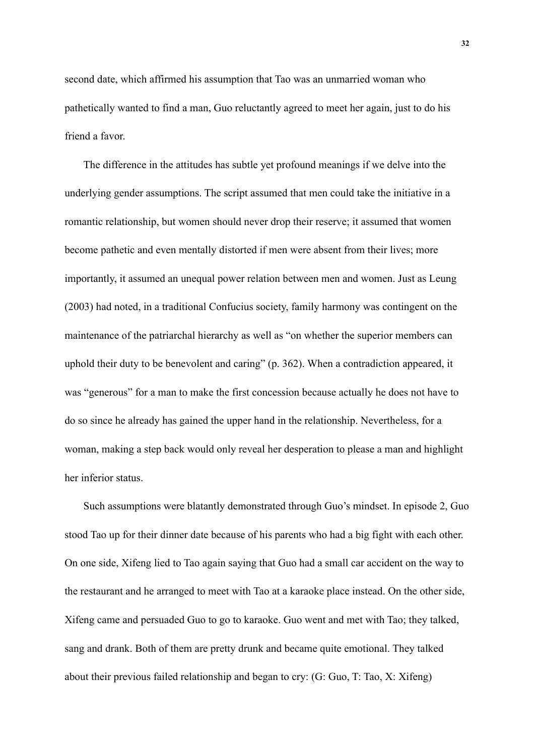second date, which affirmed his assumption that Tao was an unmarried woman who pathetically wanted to find a man, Guo reluctantly agreed to meet her again, just to do his friend a favor.

The difference in the attitudes has subtle yet profound meanings if we delve into the underlying gender assumptions. The script assumed that men could take the initiative in a romantic relationship, but women should never drop their reserve; it assumed that women become pathetic and even mentally distorted if men were absent from their lives; more importantly, it assumed an unequal power relation between men and women. Just as Leung (2003) had noted, in a traditional Confucius society, family harmony was contingent on the maintenance of the patriarchal hierarchy as well as "on whether the superior members can uphold their duty to be benevolent and caring" (p. 362). When a contradiction appeared, it was "generous" for a man to make the first concession because actually he does not have to do so since he already has gained the upper hand in the relationship. Nevertheless, for a woman, making a step back would only reveal her desperation to please a man and highlight her inferior status.

Such assumptions were blatantly demonstrated through Guo's mindset. In episode 2, Guo stood Tao up for their dinner date because of his parents who had a big fight with each other. On one side, Xifeng lied to Tao again saying that Guo had a small car accident on the way to the restaurant and he arranged to meet with Tao at a karaoke place instead. On the other side, Xifeng came and persuaded Guo to go to karaoke. Guo went and met with Tao; they talked, sang and drank. Both of them are pretty drunk and became quite emotional. They talked about their previous failed relationship and began to cry: (G: Guo, T: Tao, X: Xifeng)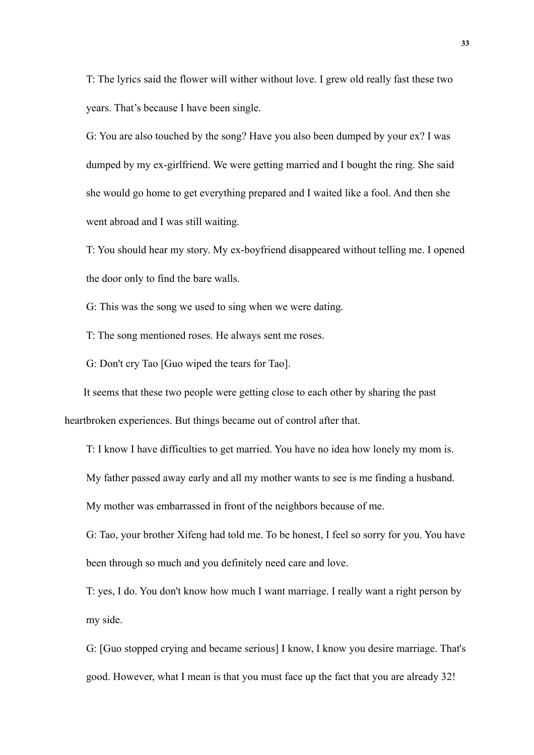T: The lyrics said the flower will wither without love. I grew old really fast these two years. That's because I have been single.

G: You are also touched by the song? Have you also been dumped by your ex? I was dumped by my ex-girlfriend. We were getting married and I bought the ring. She said she would go home to get everything prepared and I waited like a fool. And then she went abroad and I was still waiting.

T: You should hear my story. My ex-boyfriend disappeared without telling me. I opened the door only to find the bare walls.

G: This was the song we used to sing when we were dating.

T: The song mentioned roses. He always sent me roses.

G: Don't cry Tao [Guo wiped the tears for Tao].

It seems that these two people were getting close to each other by sharing the past heartbroken experiences. But things became out of control after that.

T: I know I have difficulties to get married. You have no idea how lonely my mom is.

My father passed away early and all my mother wants to see is me finding a husband.

My mother was embarrassed in front of the neighbors because of me.

G: Tao, your brother Xifeng had told me. To be honest, I feel so sorry for you. You have been through so much and you definitely need care and love.

T: yes, I do. You don't know how much I want marriage. I really want a right person by my side.

G: [Guo stopped crying and became serious] I know, I know you desire marriage. That's good. However, what I mean is that you must face up the fact that you are already 32!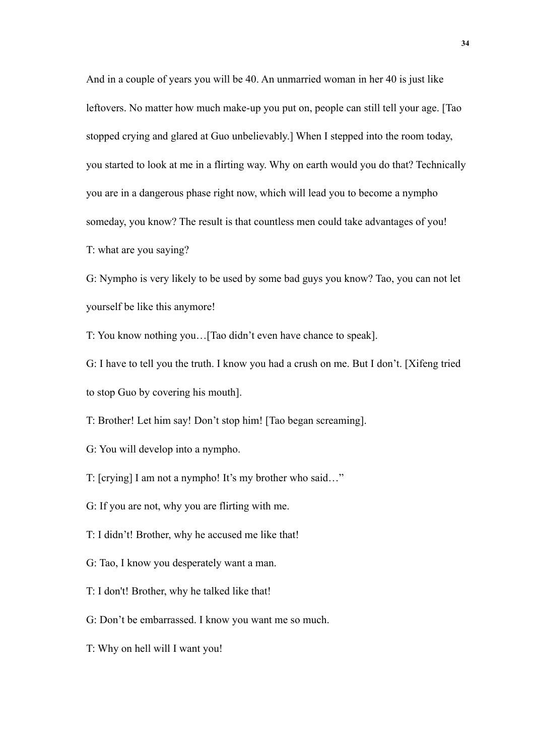And in a couple of years you will be 40. An unmarried woman in her 40 is just like leftovers. No matter how much make-up you put on, people can still tell your age. [Tao stopped crying and glared at Guo unbelievably.] When I stepped into the room today, you started to look at me in a flirting way. Why on earth would you do that? Technically you are in a dangerous phase right now, which will lead you to become a nympho someday, you know? The result is that countless men could take advantages of you! T: what are you saying?

G: Nympho is very likely to be used by some bad guys you know? Tao, you can not let yourself be like this anymore!

T: You know nothing you…[Tao didn't even have chance to speak].

G: I have to tell you the truth. I know you had a crush on me. But I don't. [Xifeng tried to stop Guo by covering his mouth].

T: Brother! Let him say! Don't stop him! [Tao began screaming].

G: You will develop into a nympho.

T: [crying] I am not a nympho! It's my brother who said…"

- G: If you are not, why you are flirting with me.
- T: I didn't! Brother, why he accused me like that!
- G: Tao, I know you desperately want a man.
- T: I don't! Brother, why he talked like that!
- G: Don't be embarrassed. I know you want me so much.
- T: Why on hell will I want you!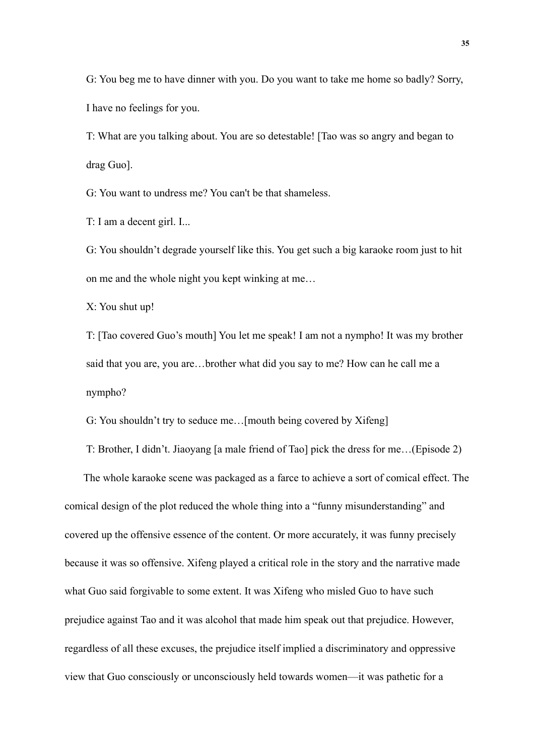G: You beg me to have dinner with you. Do you want to take me home so badly? Sorry, I have no feelings for you.

T: What are you talking about. You are so detestable! [Tao was so angry and began to drag Guo].

G: You want to undress me? You can't be that shameless.

T: I am a decent girl. I...

G: You shouldn't degrade yourself like this. You get such a big karaoke room just to hit on me and the whole night you kept winking at me…

X: You shut up!

T: [Tao covered Guo's mouth] You let me speak! I am not a nympho! It was my brother said that you are, you are…brother what did you say to me? How can he call me a nympho?

G: You shouldn't try to seduce me…[mouth being covered by Xifeng]

T: Brother, I didn't. Jiaoyang [a male friend of Tao] pick the dress for me…(Episode 2)

The whole karaoke scene was packaged as a farce to achieve a sort of comical effect. The comical design of the plot reduced the whole thing into a "funny misunderstanding" and covered up the offensive essence of the content. Or more accurately, it was funny precisely because it was so offensive. Xifeng played a critical role in the story and the narrative made what Guo said forgivable to some extent. It was Xifeng who misled Guo to have such prejudice against Tao and it was alcohol that made him speak out that prejudice. However, regardless of all these excuses, the prejudice itself implied a discriminatory and oppressive view that Guo consciously or unconsciously held towards women—it was pathetic for a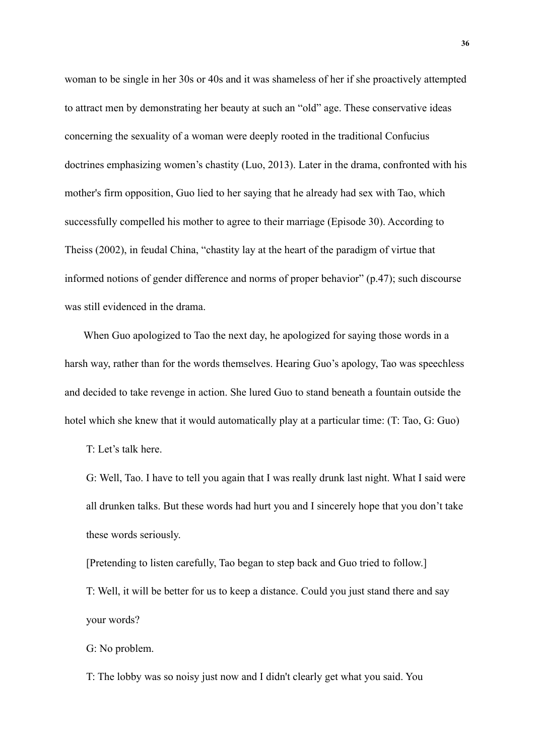woman to be single in her 30s or 40s and it was shameless of her if she proactively attempted to attract men by demonstrating her beauty at such an "old" age. These conservative ideas concerning the sexuality of a woman were deeply rooted in the traditional Confucius doctrines emphasizing women's chastity (Luo, 2013). Later in the drama, confronted with his mother's firm opposition, Guo lied to her saying that he already had sex with Tao, which successfully compelled his mother to agree to their marriage (Episode 30). According to Theiss (2002), in feudal China, "chastity lay at the heart of the paradigm of virtue that informed notions of gender difference and norms of proper behavior" (p.47); such discourse was still evidenced in the drama.

When Guo apologized to Tao the next day, he apologized for saying those words in a harsh way, rather than for the words themselves. Hearing Guo's apology, Tao was speechless and decided to take revenge in action. She lured Guo to stand beneath a fountain outside the hotel which she knew that it would automatically play at a particular time: (T: Tao, G: Guo)

T: Let's talk here.

G: Well, Tao. I have to tell you again that I was really drunk last night. What I said were all drunken talks. But these words had hurt you and I sincerely hope that you don't take these words seriously.

[Pretending to listen carefully, Tao began to step back and Guo tried to follow.] T: Well, it will be better for us to keep a distance. Could you just stand there and say your words?

G: No problem.

T: The lobby was so noisy just now and I didn't clearly get what you said. You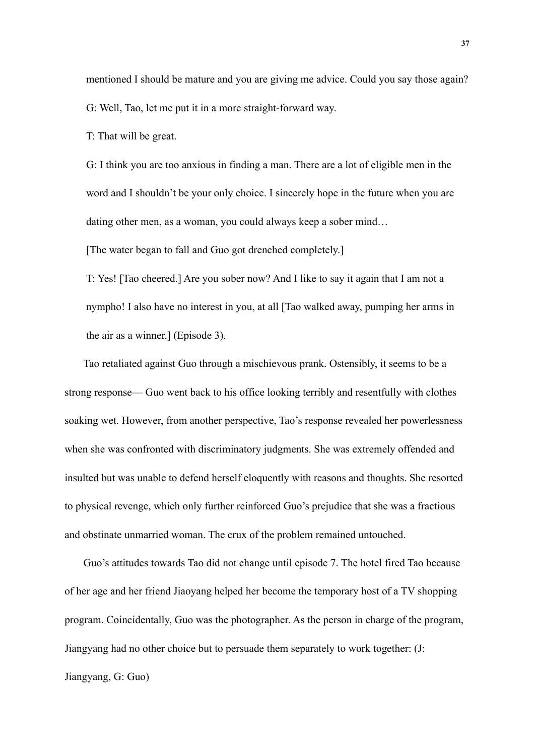mentioned I should be mature and you are giving me advice. Could you say those again? G: Well, Tao, let me put it in a more straight-forward way.

T: That will be great.

G: I think you are too anxious in finding a man. There are a lot of eligible men in the word and I shouldn't be your only choice. I sincerely hope in the future when you are dating other men, as a woman, you could always keep a sober mind…

[The water began to fall and Guo got drenched completely.]

T: Yes! [Tao cheered.] Are you sober now? And I like to say it again that I am not a nympho! I also have no interest in you, at all [Tao walked away, pumping her arms in the air as a winner.] (Episode 3).

Tao retaliated against Guo through a mischievous prank. Ostensibly, it seems to be a strong response— Guo went back to his office looking terribly and resentfully with clothes soaking wet. However, from another perspective, Tao's response revealed her powerlessness when she was confronted with discriminatory judgments. She was extremely offended and insulted but was unable to defend herself eloquently with reasons and thoughts. She resorted to physical revenge, which only further reinforced Guo's prejudice that she was a fractious and obstinate unmarried woman. The crux of the problem remained untouched.

Guo's attitudes towards Tao did not change until episode 7. The hotel fired Tao because of her age and her friend Jiaoyang helped her become the temporary host of a TV shopping program. Coincidentally, Guo was the photographer. As the person in charge of the program, Jiangyang had no other choice but to persuade them separately to work together: (J: Jiangyang, G: Guo)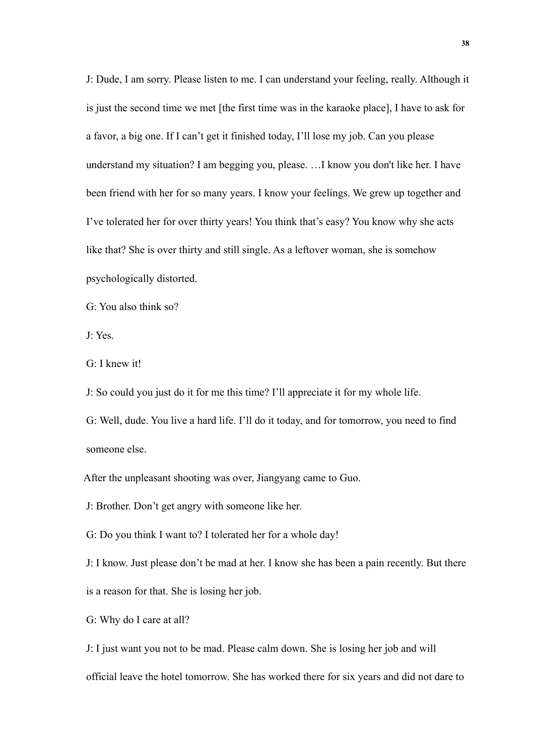J: Dude, I am sorry. Please listen to me. I can understand your feeling, really. Although it is just the second time we met [the first time was in the karaoke place], I have to ask for a favor, a big one. If I can't get it finished today, I'll lose my job. Can you please understand my situation? I am begging you, please. …I know you don't like her. I have been friend with her for so many years. I know your feelings. We grew up together and I've tolerated her for over thirty years! You think that's easy? You know why she acts like that? She is over thirty and still single. As a leftover woman, she is somehow psychologically distorted.

G: You also think so?

J: Yes.

G: I knew it!

J: So could you just do it for me this time? I'll appreciate it for my whole life.

G: Well, dude. You live a hard life. I'll do it today, and for tomorrow, you need to find someone else.

After the unpleasant shooting was over, Jiangyang came to Guo.

J: Brother. Don't get angry with someone like her.

G: Do you think I want to? I tolerated her for a whole day!

J: I know. Just please don't be mad at her. I know she has been a pain recently. But there is a reason for that. She is losing her job.

G: Why do I care at all?

J: I just want you not to be mad. Please calm down. She is losing her job and will official leave the hotel tomorrow. She has worked there for six years and did not dare to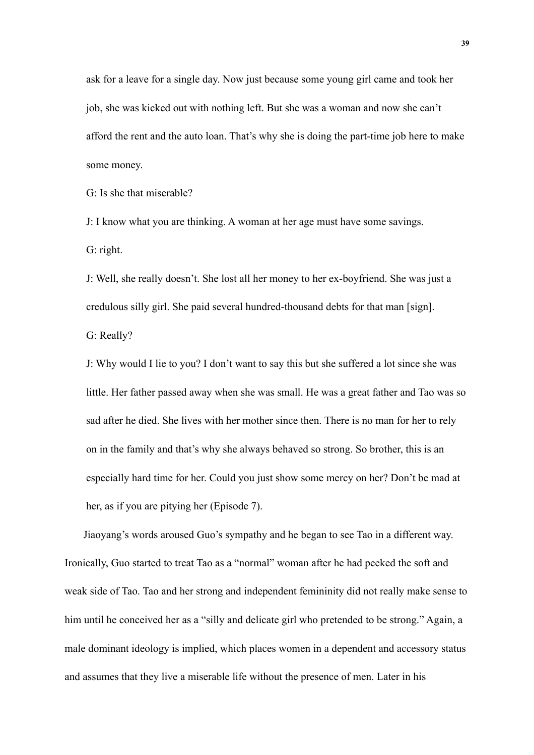ask for a leave for a single day. Now just because some young girl came and took her job, she was kicked out with nothing left. But she was a woman and now she can't afford the rent and the auto loan. That's why she is doing the part-time job here to make some money.

G: Is she that miserable?

J: I know what you are thinking. A woman at her age must have some savings. G: right.

J: Well, she really doesn't. She lost all her money to her ex-boyfriend. She was just a credulous silly girl. She paid several hundred-thousand debts for that man [sign]. G: Really?

J: Why would I lie to you? I don't want to say this but she suffered a lot since she was little. Her father passed away when she was small. He was a great father and Tao was so sad after he died. She lives with her mother since then. There is no man for her to rely on in the family and that's why she always behaved so strong. So brother, this is an especially hard time for her. Could you just show some mercy on her? Don't be mad at her, as if you are pitying her (Episode 7).

Jiaoyang's words aroused Guo's sympathy and he began to see Tao in a different way. Ironically, Guo started to treat Tao as a "normal" woman after he had peeked the soft and weak side of Tao. Tao and her strong and independent femininity did not really make sense to him until he conceived her as a "silly and delicate girl who pretended to be strong." Again, a male dominant ideology is implied, which places women in a dependent and accessory status and assumes that they live a miserable life without the presence of men. Later in his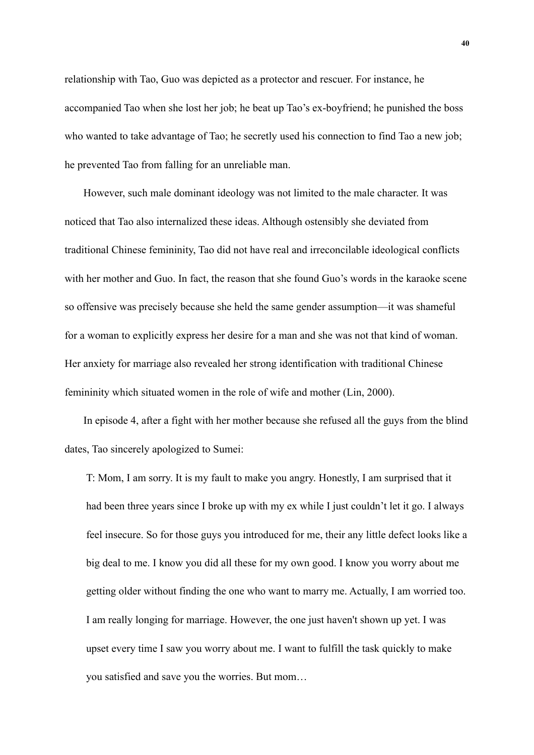relationship with Tao, Guo was depicted as a protector and rescuer. For instance, he accompanied Tao when she lost her job; he beat up Tao's ex-boyfriend; he punished the boss who wanted to take advantage of Tao; he secretly used his connection to find Tao a new job; he prevented Tao from falling for an unreliable man.

However, such male dominant ideology was not limited to the male character. It was noticed that Tao also internalized these ideas. Although ostensibly she deviated from traditional Chinese femininity, Tao did not have real and irreconcilable ideological conflicts with her mother and Guo. In fact, the reason that she found Guo's words in the karaoke scene so offensive was precisely because she held the same gender assumption—it was shameful for a woman to explicitly express her desire for a man and she was not that kind of woman. Her anxiety for marriage also revealed her strong identification with traditional Chinese femininity which situated women in the role of wife and mother (Lin, 2000).

In episode 4, after a fight with her mother because she refused all the guys from the blind dates, Tao sincerely apologized to Sumei:

T: Mom, I am sorry. It is my fault to make you angry. Honestly, I am surprised that it had been three years since I broke up with my ex while I just couldn't let it go. I always feel insecure. So for those guys you introduced for me, their any little defect looks like a big deal to me. I know you did all these for my own good. I know you worry about me getting older without finding the one who want to marry me. Actually, I am worried too. I am really longing for marriage. However, the one just haven't shown up yet. I was upset every time I saw you worry about me. I want to fulfill the task quickly to make you satisfied and save you the worries. But mom…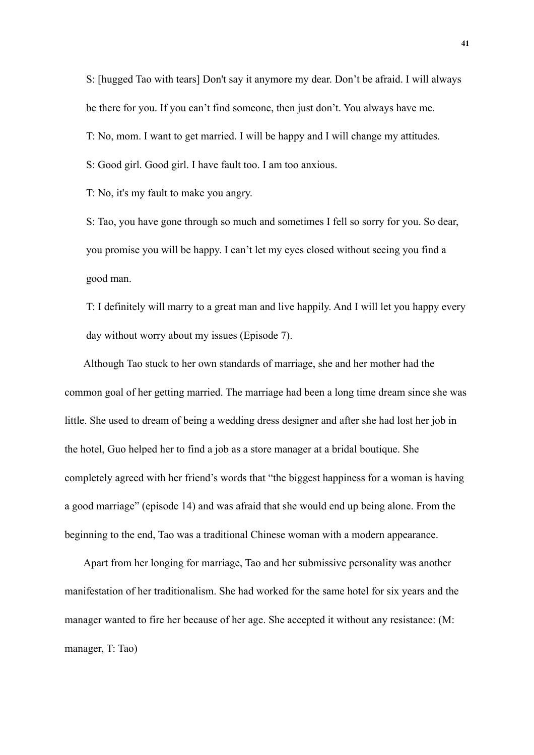S: [hugged Tao with tears] Don't say it anymore my dear. Don't be afraid. I will always be there for you. If you can't find someone, then just don't. You always have me.

T: No, mom. I want to get married. I will be happy and I will change my attitudes.

S: Good girl. Good girl. I have fault too. I am too anxious.

T: No, it's my fault to make you angry.

S: Tao, you have gone through so much and sometimes I fell so sorry for you. So dear, you promise you will be happy. I can't let my eyes closed without seeing you find a good man.

T: I definitely will marry to a great man and live happily. And I will let you happy every day without worry about my issues (Episode 7).

Although Tao stuck to her own standards of marriage, she and her mother had the common goal of her getting married. The marriage had been a long time dream since she was little. She used to dream of being a wedding dress designer and after she had lost her job in the hotel, Guo helped her to find a job as a store manager at a bridal boutique. She completely agreed with her friend's words that "the biggest happiness for a woman is having a good marriage" (episode 14) and was afraid that she would end up being alone. From the beginning to the end, Tao was a traditional Chinese woman with a modern appearance.

Apart from her longing for marriage, Tao and her submissive personality was another manifestation of her traditionalism. She had worked for the same hotel for six years and the manager wanted to fire her because of her age. She accepted it without any resistance: (M: manager, T: Tao)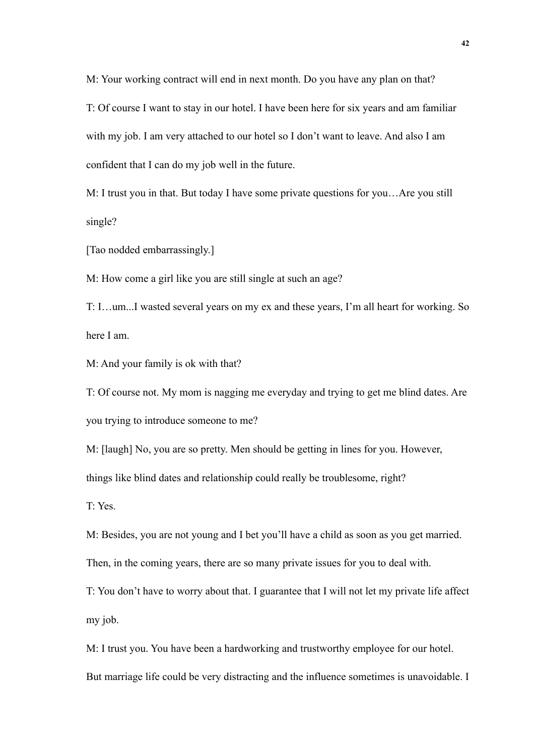M: Your working contract will end in next month. Do you have any plan on that?

T: Of course I want to stay in our hotel. I have been here for six years and am familiar with my job. I am very attached to our hotel so I don't want to leave. And also I am confident that I can do my job well in the future.

M: I trust you in that. But today I have some private questions for you…Are you still single?

[Tao nodded embarrassingly.]

M: How come a girl like you are still single at such an age?

T: I…um...I wasted several years on my ex and these years, I'm all heart for working. So here I am.

M: And your family is ok with that?

T: Of course not. My mom is nagging me everyday and trying to get me blind dates. Are you trying to introduce someone to me?

M: [laugh] No, you are so pretty. Men should be getting in lines for you. However,

things like blind dates and relationship could really be troublesome, right?

T: Yes.

M: Besides, you are not young and I bet you'll have a child as soon as you get married.

Then, in the coming years, there are so many private issues for you to deal with.

T: You don't have to worry about that. I guarantee that I will not let my private life affect my job.

M: I trust you. You have been a hardworking and trustworthy employee for our hotel.

But marriage life could be very distracting and the influence sometimes is unavoidable. I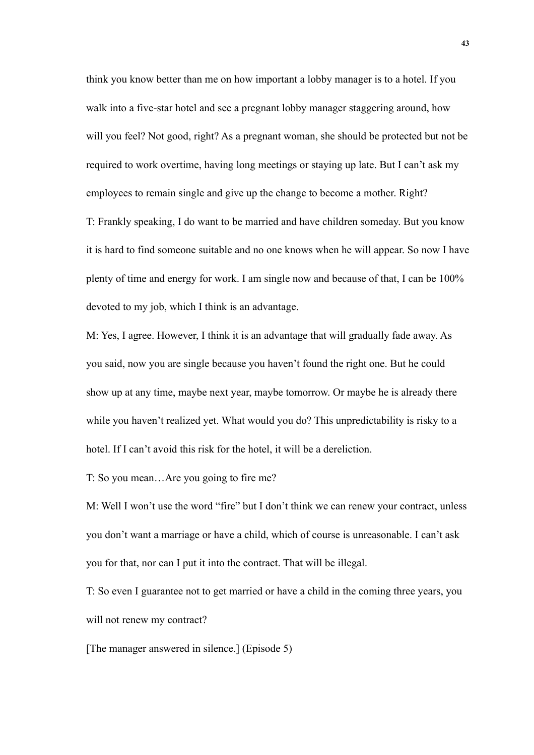think you know better than me on how important a lobby manager is to a hotel. If you walk into a five-star hotel and see a pregnant lobby manager staggering around, how will you feel? Not good, right? As a pregnant woman, she should be protected but not be required to work overtime, having long meetings or staying up late. But I can't ask my employees to remain single and give up the change to become a mother. Right? T: Frankly speaking, I do want to be married and have children someday. But you know it is hard to find someone suitable and no one knows when he will appear. So now I have plenty of time and energy for work. I am single now and because of that, I can be 100% devoted to my job, which I think is an advantage.

M: Yes, I agree. However, I think it is an advantage that will gradually fade away. As you said, now you are single because you haven't found the right one. But he could show up at any time, maybe next year, maybe tomorrow. Or maybe he is already there while you haven't realized yet. What would you do? This unpredictability is risky to a hotel. If I can't avoid this risk for the hotel, it will be a dereliction.

T: So you mean…Are you going to fire me?

M: Well I won't use the word "fire" but I don't think we can renew your contract, unless you don't want a marriage or have a child, which of course is unreasonable. I can't ask you for that, nor can I put it into the contract. That will be illegal.

T: So even I guarantee not to get married or have a child in the coming three years, you will not renew my contract?

[The manager answered in silence.] (Episode 5)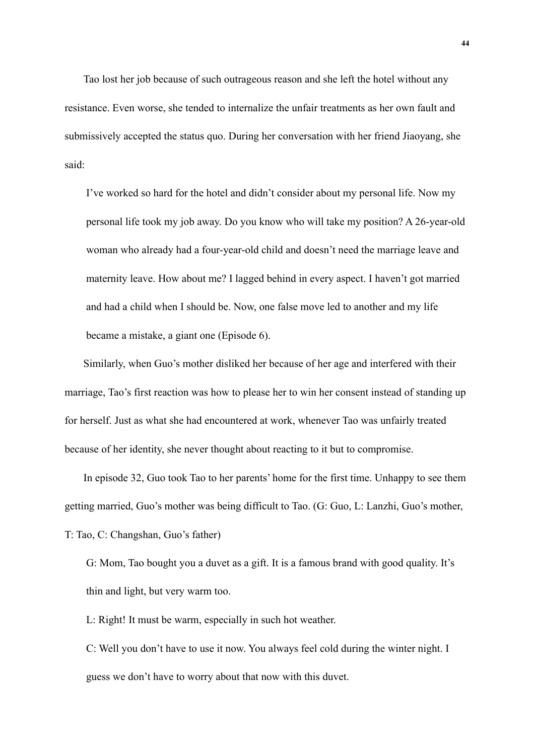Tao lost her job because of such outrageous reason and she left the hotel without any resistance. Even worse, she tended to internalize the unfair treatments as her own fault and submissively accepted the status quo. During her conversation with her friend Jiaoyang, she said:

I've worked so hard for the hotel and didn't consider about my personal life. Now my personal life took my job away. Do you know who will take my position? A 26-year-old woman who already had a four-year-old child and doesn't need the marriage leave and maternity leave. How about me? I lagged behind in every aspect. I haven't got married and had a child when I should be. Now, one false move led to another and my life became a mistake, a giant one (Episode 6).

Similarly, when Guo's mother disliked her because of her age and interfered with their marriage, Tao's first reaction was how to please her to win her consent instead of standing up for herself. Just as what she had encountered at work, whenever Tao was unfairly treated because of her identity, she never thought about reacting to it but to compromise.

In episode 32, Guo took Tao to her parents' home for the first time. Unhappy to see them getting married, Guo's mother was being difficult to Tao. (G: Guo, L: Lanzhi, Guo's mother, T: Tao, C: Changshan, Guo's father)

G: Mom, Tao bought you a duvet as a gift. It is a famous brand with good quality. It's thin and light, but very warm too.

L: Right! It must be warm, especially in such hot weather.

C: Well you don't have to use it now. You always feel cold during the winter night. I guess we don't have to worry about that now with this duvet.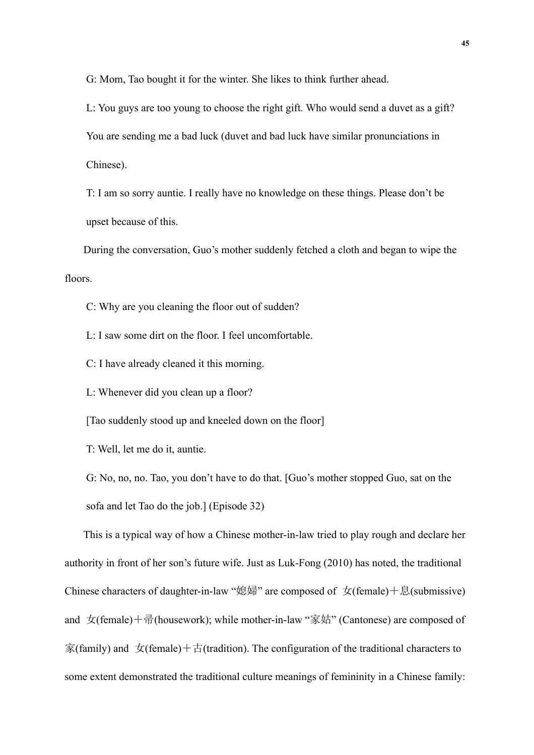G: Mom, Tao bought it for the winter. She likes to think further ahead.

L: You guys are too young to choose the right gift. Who would send a duvet as a gift? You are sending me a bad luck (duvet and bad luck have similar pronunciations in Chinese).

T: I am so sorry auntie. I really have no knowledge on these things. Please don't be upset because of this.

During the conversation, Guo's mother suddenly fetched a cloth and began to wipe the floors.

C: Why are you cleaning the floor out of sudden?

L: I saw some dirt on the floor. I feel uncomfortable.

C: I have already cleaned it this morning.

L: Whenever did you clean up a floor?

[Tao suddenly stood up and kneeled down on the floor]

T: Well, let me do it, auntie.

G: No, no, no. Tao, you don't have to do that. [Guo's mother stopped Guo, sat on the sofa and let Tao do the job.] (Episode 32)

This is a typical way of how a Chinese mother-in-law tried to play rough and declare her authority in front of her son's future wife. Just as Luk-Fong (2010) has noted, the traditional Chinese characters of daughter-in-law "媳婦" are composed of  $\pm$ (female)+息(submissive) and  $\overline{x}$ (female)+帚(housework); while mother-in-law "家姑" (Cantonese) are composed of 家(family) and  $\pm$ (female) +  $\pm$ (tradition). The configuration of the traditional characters to some extent demonstrated the traditional culture meanings of femininity in a Chinese family: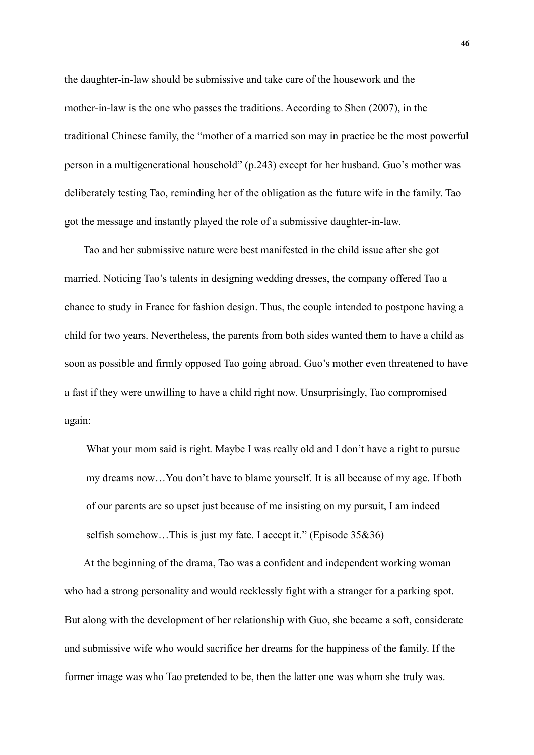the daughter-in-law should be submissive and take care of the housework and the mother-in-law is the one who passes the traditions. According to Shen (2007), in the traditional Chinese family, the "mother of a married son may in practice be the most powerful person in a multigenerational household" (p.243) except for her husband. Guo's mother was deliberately testing Tao, reminding her of the obligation as the future wife in the family. Tao got the message and instantly played the role of a submissive daughter-in-law.

Tao and her submissive nature were best manifested in the child issue after she got married. Noticing Tao's talents in designing wedding dresses, the company offered Tao a chance to study in France for fashion design. Thus, the couple intended to postpone having a child for two years. Nevertheless, the parents from both sides wanted them to have a child as soon as possible and firmly opposed Tao going abroad. Guo's mother even threatened to have a fast if they were unwilling to have a child right now. Unsurprisingly, Tao compromised again:

What your mom said is right. Maybe I was really old and I don't have a right to pursue my dreams now…You don't have to blame yourself. It is all because of my age. If both of our parents are so upset just because of me insisting on my pursuit, I am indeed selfish somehow...This is just my fate. I accept it." (Episode 35&36)

At the beginning of the drama, Tao was a confident and independent working woman who had a strong personality and would recklessly fight with a stranger for a parking spot. But along with the development of her relationship with Guo, she became a soft, considerate and submissive wife who would sacrifice her dreams for the happiness of the family. If the former image was who Tao pretended to be, then the latter one was whom she truly was.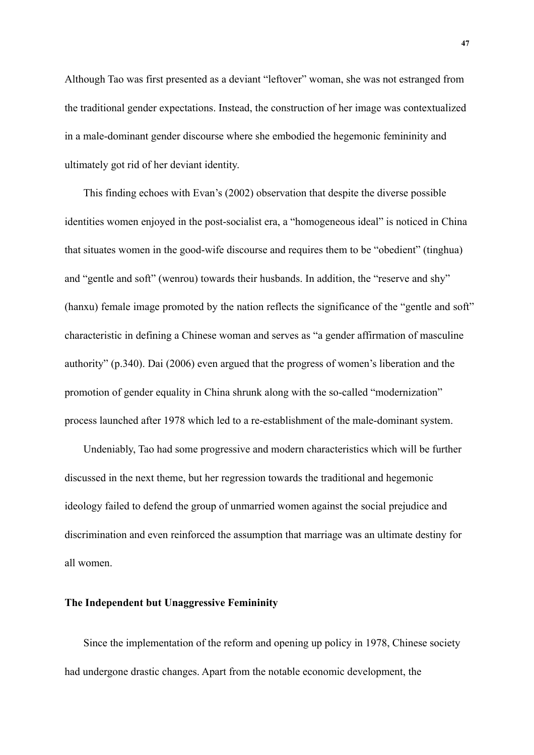Although Tao was first presented as a deviant "leftover" woman, she was not estranged from the traditional gender expectations. Instead, the construction of her image was contextualized in a male-dominant gender discourse where she embodied the hegemonic femininity and ultimately got rid of her deviant identity.

This finding echoes with Evan's (2002) observation that despite the diverse possible identities women enjoyed in the post-socialist era, a "homogeneous ideal" is noticed in China that situates women in the good-wife discourse and requires them to be "obedient" (tinghua) and "gentle and soft" (wenrou) towards their husbands. In addition, the "reserve and shy" (hanxu) female image promoted by the nation reflects the significance of the "gentle and soft" characteristic in defining a Chinese woman and serves as "a gender affirmation of masculine authority" (p.340). Dai (2006) even argued that the progress of women's liberation and the promotion of gender equality in China shrunk along with the so-called "modernization" process launched after 1978 which led to a re-establishment of the male-dominant system.

Undeniably, Tao had some progressive and modern characteristics which will be further discussed in the next theme, but her regression towards the traditional and hegemonic ideology failed to defend the group of unmarried women against the social prejudice and discrimination and even reinforced the assumption that marriage was an ultimate destiny for all women.

## **The Independent but Unaggressive Femininity**

Since the implementation of the reform and opening up policy in 1978, Chinese society had undergone drastic changes. Apart from the notable economic development, the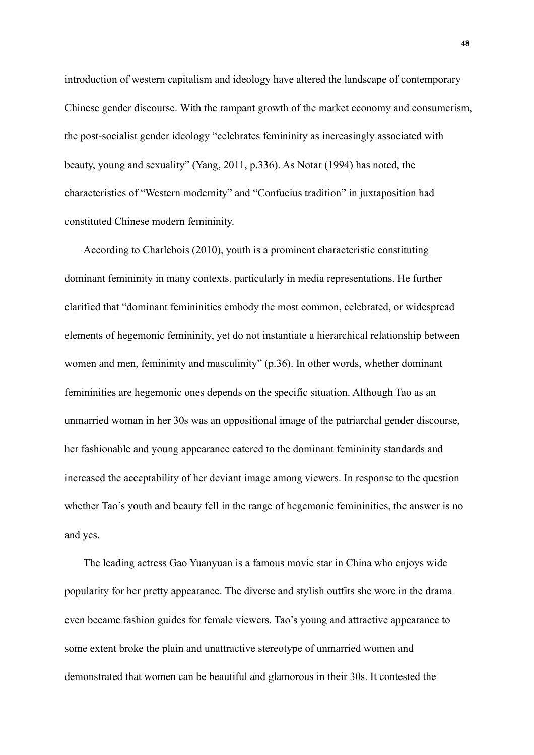introduction of western capitalism and ideology have altered the landscape of contemporary Chinese gender discourse. With the rampant growth of the market economy and consumerism, the post-socialist gender ideology "celebrates femininity as increasingly associated with beauty, young and sexuality" (Yang, 2011, p.336). As Notar (1994) has noted, the characteristics of "Western modernity" and "Confucius tradition" in juxtaposition had constituted Chinese modern femininity.

According to Charlebois (2010), youth is a prominent characteristic constituting dominant femininity in many contexts, particularly in media representations. He further clarified that "dominant femininities embody the most common, celebrated, or widespread elements of hegemonic femininity, yet do not instantiate a hierarchical relationship between women and men, femininity and masculinity" (p.36). In other words, whether dominant femininities are hegemonic ones depends on the specific situation. Although Tao as an unmarried woman in her 30s was an oppositional image of the patriarchal gender discourse, her fashionable and young appearance catered to the dominant femininity standards and increased the acceptability of her deviant image among viewers. In response to the question whether Tao's youth and beauty fell in the range of hegemonic femininities, the answer is no and yes.

The leading actress Gao Yuanyuan is a famous movie star in China who enjoys wide popularity for her pretty appearance. The diverse and stylish outfits she wore in the drama even became fashion guides for female viewers. Tao's young and attractive appearance to some extent broke the plain and unattractive stereotype of unmarried women and demonstrated that women can be beautiful and glamorous in their 30s. It contested the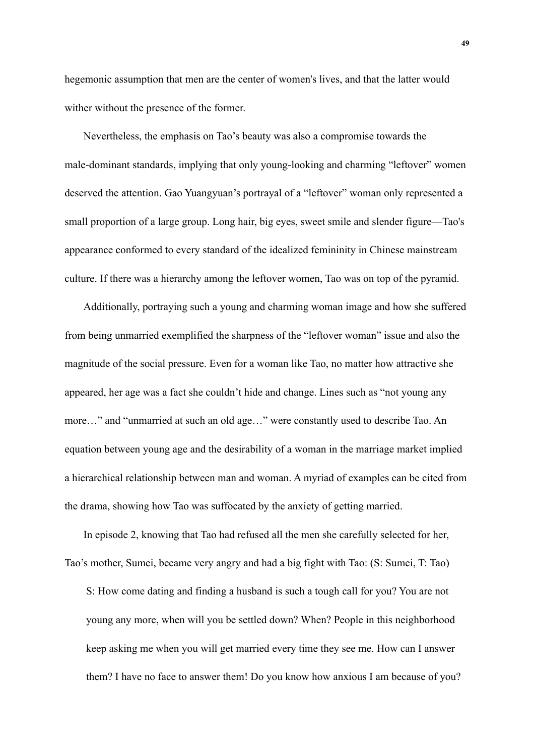hegemonic assumption that men are the center of women's lives, and that the latter would wither without the presence of the former.

Nevertheless, the emphasis on Tao's beauty was also a compromise towards the male-dominant standards, implying that only young-looking and charming "leftover" women deserved the attention. Gao Yuangyuan's portrayal of a "leftover" woman only represented a small proportion of a large group. Long hair, big eyes, sweet smile and slender figure—Tao's appearance conformed to every standard of the idealized femininity in Chinese mainstream culture. If there was a hierarchy among the leftover women, Tao was on top of the pyramid.

Additionally, portraying such a young and charming woman image and how she suffered from being unmarried exemplified the sharpness of the "leftover woman" issue and also the magnitude of the social pressure. Even for a woman like Tao, no matter how attractive she appeared, her age was a fact she couldn't hide and change. Lines such as "not young any more…" and "unmarried at such an old age…" were constantly used to describe Tao. An equation between young age and the desirability of a woman in the marriage market implied a hierarchical relationship between man and woman. A myriad of examples can be cited from the drama, showing how Tao was suffocated by the anxiety of getting married.

In episode 2, knowing that Tao had refused all the men she carefully selected for her, Tao's mother, Sumei, became very angry and had a big fight with Tao: (S: Sumei, T: Tao) S: How come dating and finding a husband is such a tough call for you? You are not young any more, when will you be settled down? When? People in this neighborhood keep asking me when you will get married every time they see me. How can I answer them? I have no face to answer them! Do you know how anxious I am because of you?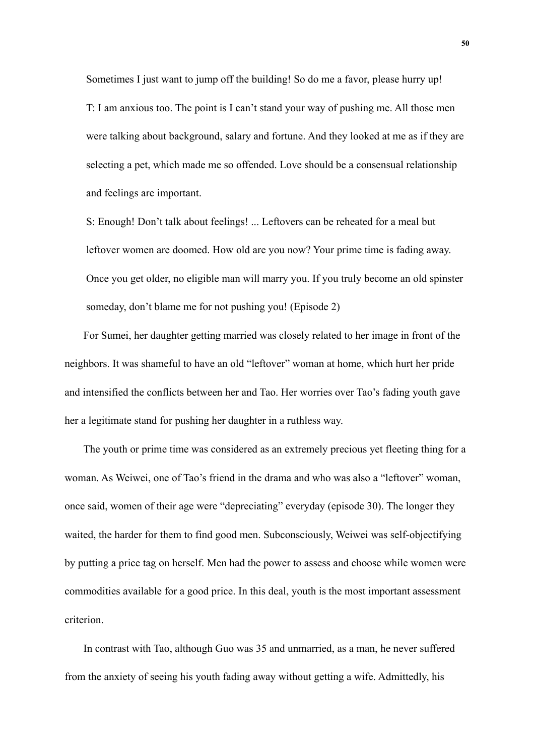Sometimes I just want to jump off the building! So do me a favor, please hurry up! T: I am anxious too. The point is I can't stand your way of pushing me. All those men were talking about background, salary and fortune. And they looked at me as if they are selecting a pet, which made me so offended. Love should be a consensual relationship and feelings are important.

S: Enough! Don't talk about feelings! ... Leftovers can be reheated for a meal but leftover women are doomed. How old are you now? Your prime time is fading away. Once you get older, no eligible man will marry you. If you truly become an old spinster someday, don't blame me for not pushing you! (Episode 2)

For Sumei, her daughter getting married was closely related to her image in front of the neighbors. It was shameful to have an old "leftover" woman at home, which hurt her pride and intensified the conflicts between her and Tao. Her worries over Tao's fading youth gave her a legitimate stand for pushing her daughter in a ruthless way.

The youth or prime time was considered as an extremely precious yet fleeting thing for a woman. As Weiwei, one of Tao's friend in the drama and who was also a "leftover" woman, once said, women of their age were "depreciating" everyday (episode 30). The longer they waited, the harder for them to find good men. Subconsciously, Weiwei was self-objectifying by putting a price tag on herself. Men had the power to assess and choose while women were commodities available for a good price. In this deal, youth is the most important assessment criterion.

In contrast with Tao, although Guo was 35 and unmarried, as a man, he never suffered from the anxiety of seeing his youth fading away without getting a wife. Admittedly, his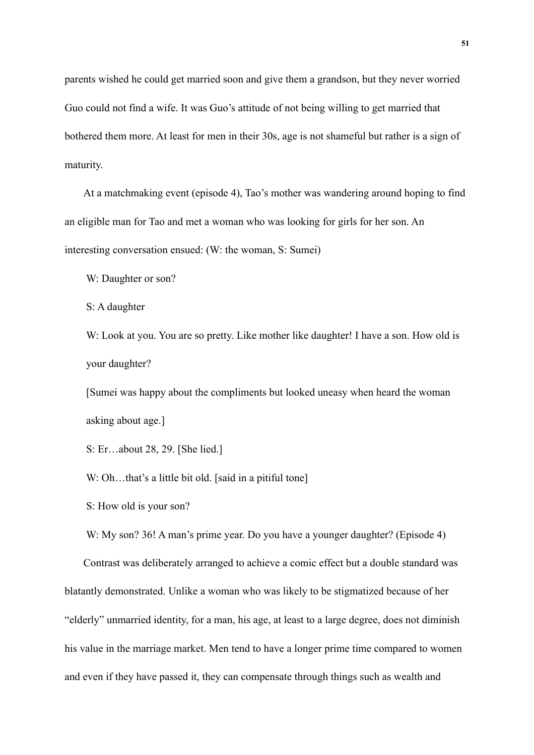parents wished he could get married soon and give them a grandson, but they never worried Guo could not find a wife. It was Guo's attitude of not being willing to get married that bothered them more. At least for men in their 30s, age is not shameful but rather is a sign of maturity.

At a matchmaking event (episode 4), Tao's mother was wandering around hoping to find an eligible man for Tao and met a woman who was looking for girls for her son. An interesting conversation ensued: (W: the woman, S: Sumei)

W: Daughter or son?

S: A daughter

W: Look at you. You are so pretty. Like mother like daughter! I have a son. How old is your daughter?

[Sumei was happy about the compliments but looked uneasy when heard the woman asking about age.]

S: Er…about 28, 29. [She lied.]

W: Oh...that's a little bit old. [said in a pitiful tone]

S: How old is your son?

W: My son? 36! A man's prime year. Do you have a younger daughter? (Episode 4)

Contrast was deliberately arranged to achieve a comic effect but a double standard was blatantly demonstrated. Unlike a woman who was likely to be stigmatized because of her "elderly" unmarried identity, for a man, his age, at least to a large degree, does not diminish his value in the marriage market. Men tend to have a longer prime time compared to women and even if they have passed it, they can compensate through things such as wealth and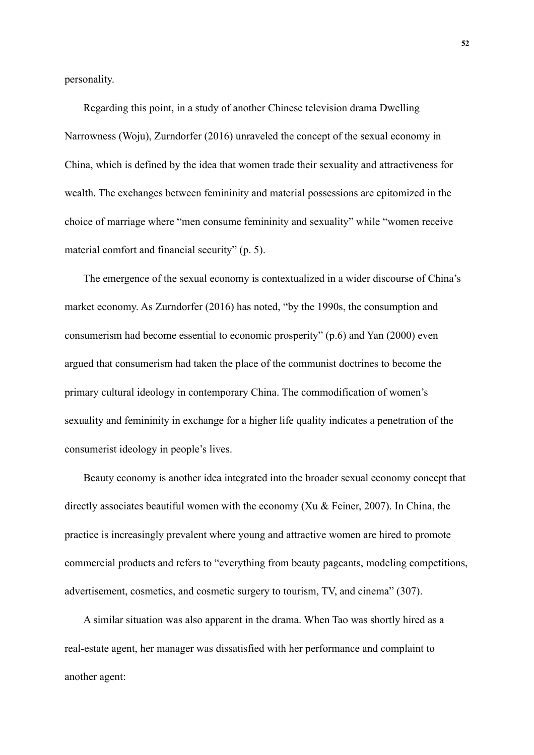personality.

Regarding this point, in a study of another Chinese television drama Dwelling Narrowness (Woju), Zurndorfer (2016) unraveled the concept of the sexual economy in China, which is defined by the idea that women trade their sexuality and attractiveness for wealth. The exchanges between femininity and material possessions are epitomized in the choice of marriage where "men consume femininity and sexuality" while "women receive material comfort and financial security" (p. 5).

The emergence of the sexual economy is contextualized in a wider discourse of China's market economy. As Zurndorfer (2016) has noted, "by the 1990s, the consumption and consumerism had become essential to economic prosperity" (p.6) and Yan (2000) even argued that consumerism had taken the place of the communist doctrines to become the primary cultural ideology in contemporary China. The commodification of women's sexuality and femininity in exchange for a higher life quality indicates a penetration of the consumerist ideology in people's lives.

Beauty economy is another idea integrated into the broader sexual economy concept that directly associates beautiful women with the economy (Xu & Feiner, 2007). In China, the practice is increasingly prevalent where young and attractive women are hired to promote commercial products and refers to "everything from beauty pageants, modeling competitions, advertisement, cosmetics, and cosmetic surgery to tourism, TV, and cinema" (307).

A similar situation was also apparent in the drama. When Tao was shortly hired as a real-estate agent, her manager was dissatisfied with her performance and complaint to another agent: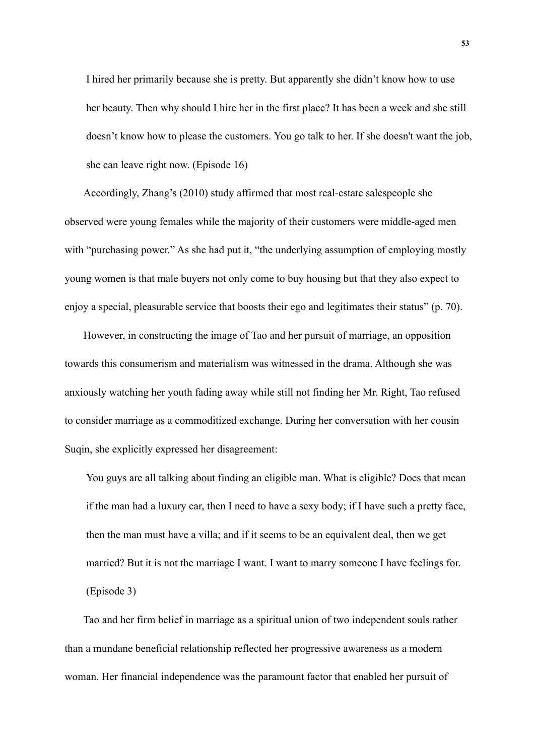I hired her primarily because she is pretty. But apparently she didn't know how to use her beauty. Then why should I hire her in the first place? It has been a week and she still doesn't know how to please the customers. You go talk to her. If she doesn't want the job, she can leave right now. (Episode 16)

Accordingly, Zhang's (2010) study affirmed that most real-estate salespeople she observed were young females while the majority of their customers were middle-aged men with "purchasing power." As she had put it, "the underlying assumption of employing mostly young women is that male buyers not only come to buy housing but that they also expect to enjoy a special, pleasurable service that boosts their ego and legitimates their status" (p. 70).

However, in constructing the image of Tao and her pursuit of marriage, an opposition towards this consumerism and materialism was witnessed in the drama. Although she was anxiously watching her youth fading away while still not finding her Mr. Right, Tao refused to consider marriage as a commoditized exchange. During her conversation with her cousin Suqin, she explicitly expressed her disagreement:

You guys are all talking about finding an eligible man. What is eligible? Does that mean if the man had a luxury car, then I need to have a sexy body; if I have such a pretty face, then the man must have a villa; and if it seems to be an equivalent deal, then we get married? But it is not the marriage I want. I want to marry someone I have feelings for. (Episode 3)

Tao and her firm belief in marriage as a spiritual union of two independent souls rather than a mundane beneficial relationship reflected her progressive awareness as a modern woman. Her financial independence was the paramount factor that enabled her pursuit of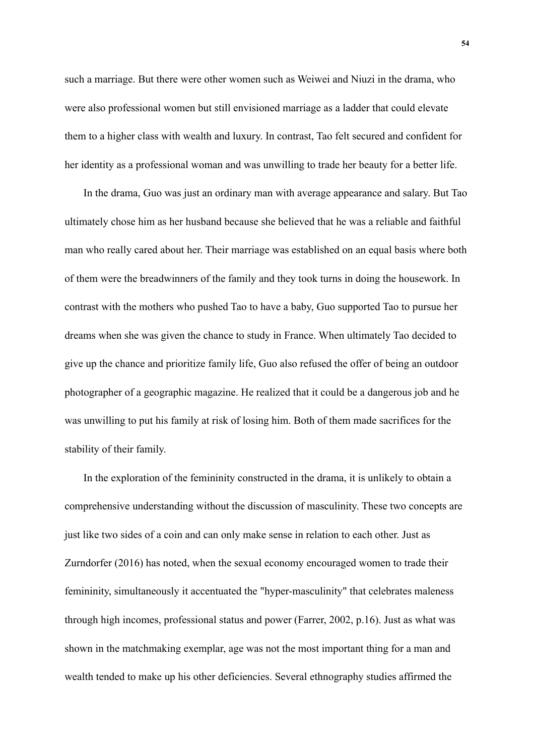such a marriage. But there were other women such as Weiwei and Niuzi in the drama, who were also professional women but still envisioned marriage as a ladder that could elevate them to a higher class with wealth and luxury. In contrast, Tao felt secured and confident for her identity as a professional woman and was unwilling to trade her beauty for a better life.

In the drama, Guo was just an ordinary man with average appearance and salary. But Tao ultimately chose him as her husband because she believed that he was a reliable and faithful man who really cared about her. Their marriage was established on an equal basis where both of them were the breadwinners of the family and they took turns in doing the housework. In contrast with the mothers who pushed Tao to have a baby, Guo supported Tao to pursue her dreams when she was given the chance to study in France. When ultimately Tao decided to give up the chance and prioritize family life, Guo also refused the offer of being an outdoor photographer of a geographic magazine. He realized that it could be a dangerous job and he was unwilling to put his family at risk of losing him. Both of them made sacrifices for the stability of their family.

In the exploration of the femininity constructed in the drama, it is unlikely to obtain a comprehensive understanding without the discussion of masculinity. These two concepts are just like two sides of a coin and can only make sense in relation to each other. Just as Zurndorfer (2016) has noted, when the sexual economy encouraged women to trade their femininity, simultaneously it accentuated the "hyper-masculinity" that celebrates maleness through high incomes, professional status and power (Farrer, 2002, p.16). Just as what was shown in the matchmaking exemplar, age was not the most important thing for a man and wealth tended to make up his other deficiencies. Several ethnography studies affirmed the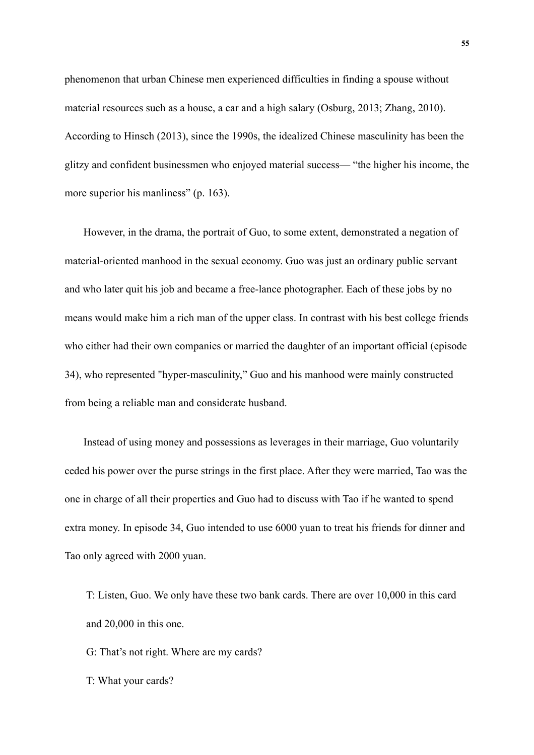phenomenon that urban Chinese men experienced difficulties in finding a spouse without material resources such as a house, a car and a high salary (Osburg, 2013; Zhang, 2010). According to Hinsch (2013), since the 1990s, the idealized Chinese masculinity has been the glitzy and confident businessmen who enjoyed material success— "the higher his income, the more superior his manliness" (p. 163).

However, in the drama, the portrait of Guo, to some extent, demonstrated a negation of material-oriented manhood in the sexual economy. Guo was just an ordinary public servant and who later quit his job and became a free-lance photographer. Each of these jobs by no means would make him a rich man of the upper class. In contrast with his best college friends who either had their own companies or married the daughter of an important official (episode 34), who represented "hyper-masculinity," Guo and his manhood were mainly constructed from being a reliable man and considerate husband.

Instead of using money and possessions as leverages in their marriage, Guo voluntarily ceded his power over the purse strings in the first place. After they were married, Tao was the one in charge of all their properties and Guo had to discuss with Tao if he wanted to spend extra money. In episode 34, Guo intended to use 6000 yuan to treat his friends for dinner and Tao only agreed with 2000 yuan.

T: Listen, Guo. We only have these two bank cards. There are over 10,000 in this card and 20,000 in this one.

G: That's not right. Where are my cards?

T: What your cards?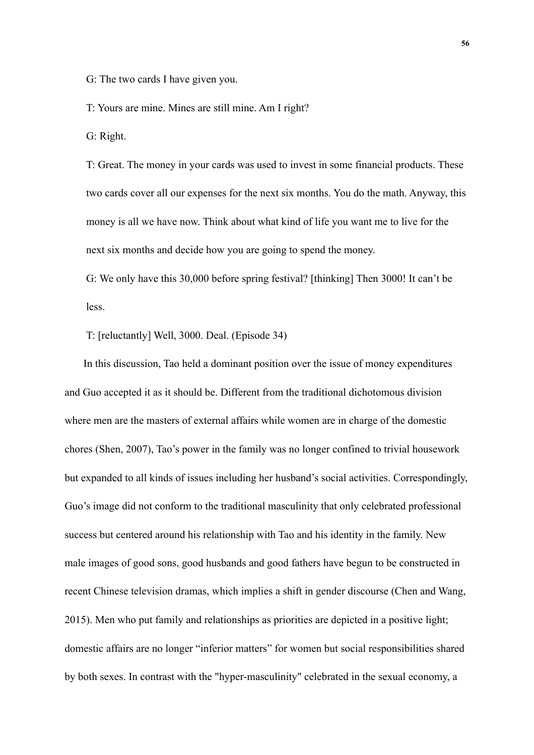G: The two cards I have given you.

T: Yours are mine. Mines are still mine. Am I right?

G: Right.

T: Great. The money in your cards was used to invest in some financial products. These two cards cover all our expenses for the next six months. You do the math. Anyway, this money is all we have now. Think about what kind of life you want me to live for the next six months and decide how you are going to spend the money.

G: We only have this 30,000 before spring festival? [thinking] Then 3000! It can't be less.

T: [reluctantly] Well, 3000. Deal. (Episode 34)

In this discussion, Tao held a dominant position over the issue of money expenditures and Guo accepted it as it should be. Different from the traditional dichotomous division where men are the masters of external affairs while women are in charge of the domestic chores (Shen, 2007), Tao's power in the family was no longer confined to trivial housework but expanded to all kinds of issues including her husband's social activities. Correspondingly, Guo's image did not conform to the traditional masculinity that only celebrated professional success but centered around his relationship with Tao and his identity in the family. New male images of good sons, good husbands and good fathers have begun to be constructed in recent Chinese television dramas, which implies a shift in gender discourse (Chen and Wang, 2015). Men who put family and relationships as priorities are depicted in a positive light; domestic affairs are no longer "inferior matters" for women but social responsibilities shared by both sexes. In contrast with the "hyper-masculinity" celebrated in the sexual economy, a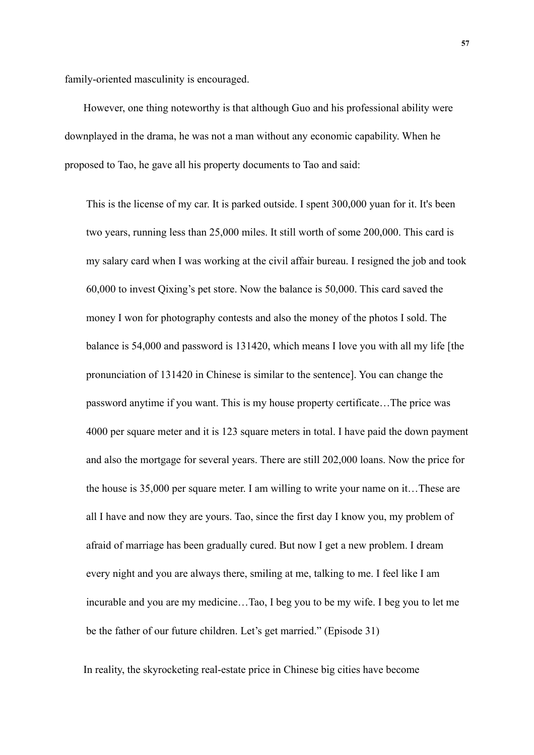family-oriented masculinity is encouraged.

However, one thing noteworthy is that although Guo and his professional ability were downplayed in the drama, he was not a man without any economic capability. When he proposed to Tao, he gave all his property documents to Tao and said:

This is the license of my car. It is parked outside. I spent 300,000 yuan for it. It's been two years, running less than 25,000 miles. It still worth of some 200,000. This card is my salary card when I was working at the civil affair bureau. I resigned the job and took 60,000 to invest Qixing's pet store. Now the balance is 50,000. This card saved the money I won for photography contests and also the money of the photos I sold. The balance is 54,000 and password is 131420, which means I love you with all my life [the pronunciation of 131420 in Chinese is similar to the sentence]. You can change the password anytime if you want. This is my house property certificate…The price was 4000 per square meter and it is 123 square meters in total. I have paid the down payment and also the mortgage for several years. There are still 202,000 loans. Now the price for the house is 35,000 per square meter. I am willing to write your name on it…These are all I have and now they are yours. Tao, since the first day I know you, my problem of afraid of marriage has been gradually cured. But now I get a new problem. I dream every night and you are always there, smiling at me, talking to me. I feel like I am incurable and you are my medicine…Tao, I beg you to be my wife. I beg you to let me be the father of our future children. Let's get married." (Episode 31)

In reality, the skyrocketing real-estate price in Chinese big cities have become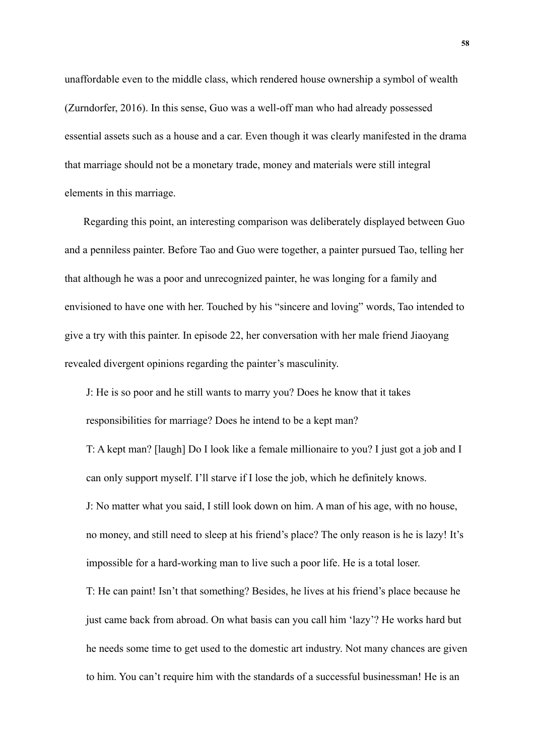unaffordable even to the middle class, which rendered house ownership a symbol of wealth (Zurndorfer, 2016). In this sense, Guo was a well-off man who had already possessed essential assets such as a house and a car. Even though it was clearly manifested in the drama that marriage should not be a monetary trade, money and materials were still integral elements in this marriage.

Regarding this point, an interesting comparison was deliberately displayed between Guo and a penniless painter. Before Tao and Guo were together, a painter pursued Tao, telling her that although he was a poor and unrecognized painter, he was longing for a family and envisioned to have one with her. Touched by his "sincere and loving" words, Tao intended to give a try with this painter. In episode 22, her conversation with her male friend Jiaoyang revealed divergent opinions regarding the painter's masculinity.

J: He is so poor and he still wants to marry you? Does he know that it takes responsibilities for marriage? Does he intend to be a kept man?

T: A kept man? [laugh] Do I look like a female millionaire to you? I just got a job and I can only support myself. I'll starve if I lose the job, which he definitely knows. J: No matter what you said, I still look down on him. A man of his age, with no house, no money, and still need to sleep at his friend's place? The only reason is he is lazy! It's impossible for a hard-working man to live such a poor life. He is a total loser.

T: He can paint! Isn't that something? Besides, he lives at his friend's place because he just came back from abroad. On what basis can you call him 'lazy'? He works hard but he needs some time to get used to the domestic art industry. Not many chances are given to him. You can't require him with the standards of a successful businessman! He is an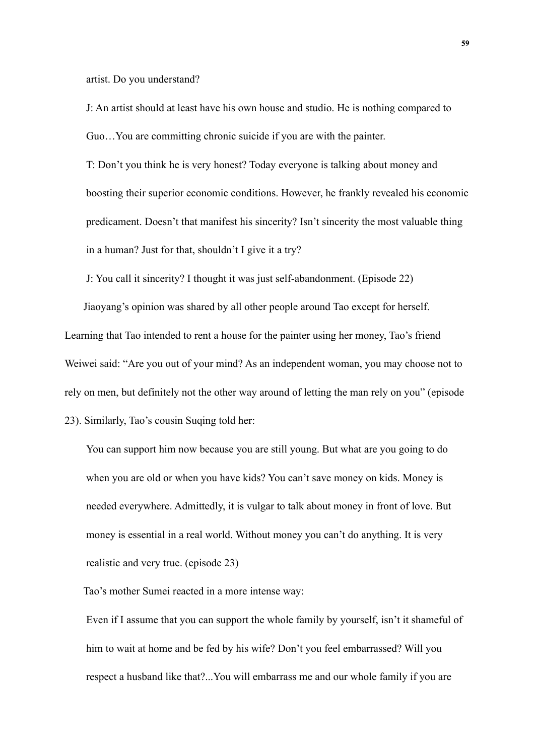artist. Do you understand?

J: An artist should at least have his own house and studio. He is nothing compared to Guo…You are committing chronic suicide if you are with the painter.

T: Don't you think he is very honest? Today everyone is talking about money and boosting their superior economic conditions. However, he frankly revealed his economic predicament. Doesn't that manifest his sincerity? Isn't sincerity the most valuable thing in a human? Just for that, shouldn't I give it a try?

J: You call it sincerity? I thought it was just self-abandonment. (Episode 22)

Jiaoyang's opinion was shared by all other people around Tao except for herself.

Learning that Tao intended to rent a house for the painter using her money, Tao's friend Weiwei said: "Are you out of your mind? As an independent woman, you may choose not to rely on men, but definitely not the other way around of letting the man rely on you" (episode 23). Similarly, Tao's cousin Suqing told her:

You can support him now because you are still young. But what are you going to do when you are old or when you have kids? You can't save money on kids. Money is needed everywhere. Admittedly, it is vulgar to talk about money in front of love. But money is essential in a real world. Without money you can't do anything. It is very realistic and very true. (episode 23)

Tao's mother Sumei reacted in a more intense way:

Even if I assume that you can support the whole family by yourself, isn't it shameful of him to wait at home and be fed by his wife? Don't you feel embarrassed? Will you respect a husband like that?...You will embarrass me and our whole family if you are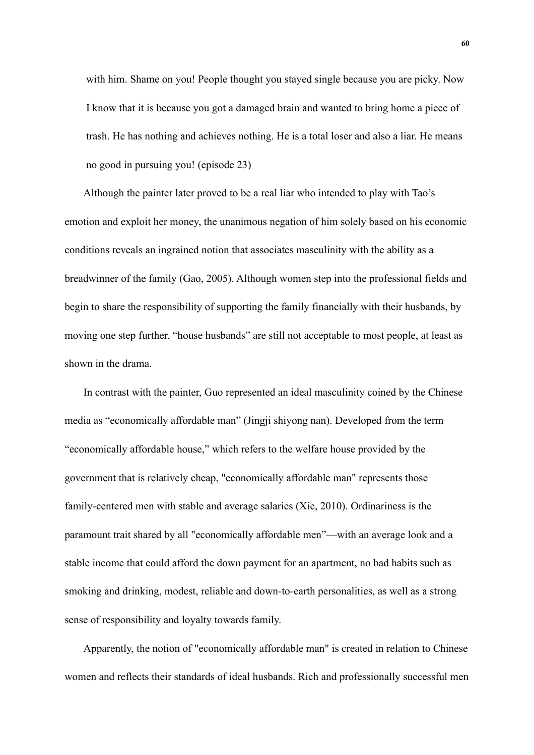with him. Shame on you! People thought you stayed single because you are picky. Now I know that it is because you got a damaged brain and wanted to bring home a piece of trash. He has nothing and achieves nothing. He is a total loser and also a liar. He means no good in pursuing you! (episode 23)

Although the painter later proved to be a real liar who intended to play with Tao's emotion and exploit her money, the unanimous negation of him solely based on his economic conditions reveals an ingrained notion that associates masculinity with the ability as a breadwinner of the family (Gao, 2005). Although women step into the professional fields and begin to share the responsibility of supporting the family financially with their husbands, by moving one step further, "house husbands" are still not acceptable to most people, at least as shown in the drama.

In contrast with the painter, Guo represented an ideal masculinity coined by the Chinese media as "economically affordable man" (Jingji shiyong nan). Developed from the term "economically affordable house," which refers to the welfare house provided by the government that is relatively cheap, "economically affordable man" represents those family-centered men with stable and average salaries (Xie, 2010). Ordinariness is the paramount trait shared by all "economically affordable men"—with an average look and a stable income that could afford the down payment for an apartment, no bad habits such as smoking and drinking, modest, reliable and down-to-earth personalities, as well as a strong sense of responsibility and loyalty towards family.

Apparently, the notion of "economically affordable man" is created in relation to Chinese women and reflects their standards of ideal husbands. Rich and professionally successful men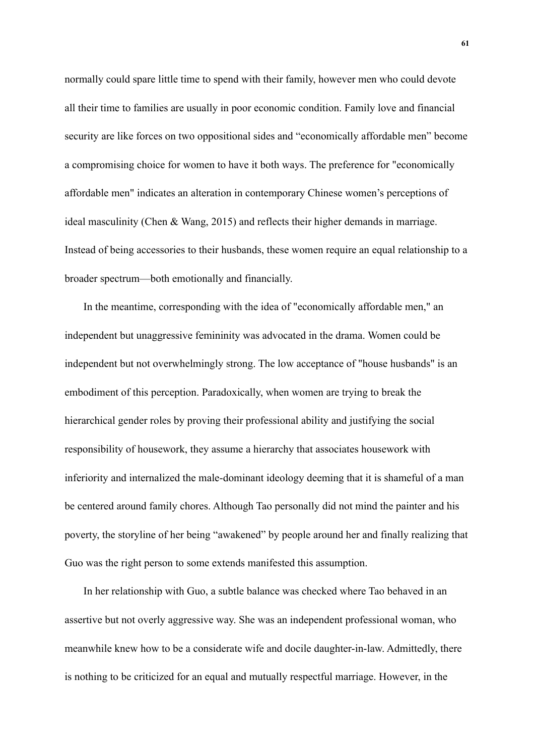normally could spare little time to spend with their family, however men who could devote all their time to families are usually in poor economic condition. Family love and financial security are like forces on two oppositional sides and "economically affordable men" become a compromising choice for women to have it both ways. The preference for "economically affordable men" indicates an alteration in contemporary Chinese women's perceptions of ideal masculinity (Chen & Wang, 2015) and reflects their higher demands in marriage. Instead of being accessories to their husbands, these women require an equal relationship to a broader spectrum—both emotionally and financially.

In the meantime, corresponding with the idea of "economically affordable men," an independent but unaggressive femininity was advocated in the drama. Women could be independent but not overwhelmingly strong. The low acceptance of "house husbands" is an embodiment of this perception. Paradoxically, when women are trying to break the hierarchical gender roles by proving their professional ability and justifying the social responsibility of housework, they assume a hierarchy that associates housework with inferiority and internalized the male-dominant ideology deeming that it is shameful of a man be centered around family chores. Although Tao personally did not mind the painter and his poverty, the storyline of her being "awakened" by people around her and finally realizing that Guo was the right person to some extends manifested this assumption.

In her relationship with Guo, a subtle balance was checked where Tao behaved in an assertive but not overly aggressive way. She was an independent professional woman, who meanwhile knew how to be a considerate wife and docile daughter-in-law. Admittedly, there is nothing to be criticized for an equal and mutually respectful marriage. However, in the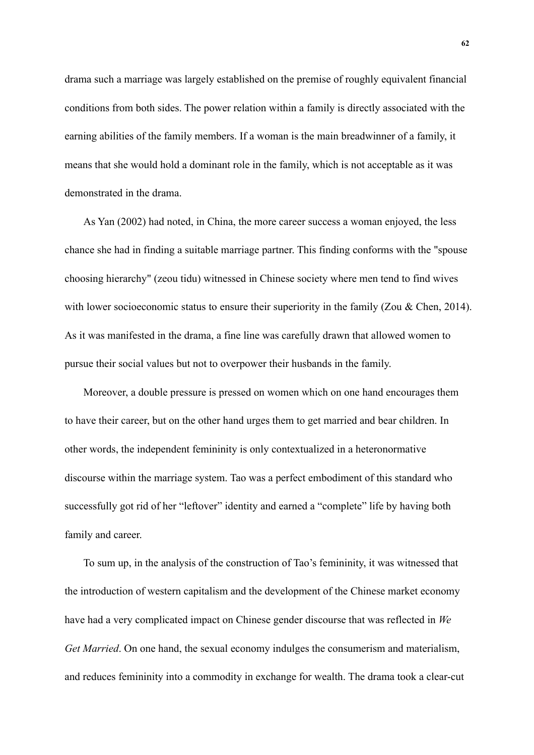drama such a marriage was largely established on the premise of roughly equivalent financial conditions from both sides. The power relation within a family is directly associated with the earning abilities of the family members. If a woman is the main breadwinner of a family, it means that she would hold a dominant role in the family, which is not acceptable as it was demonstrated in the drama.

As Yan (2002) had noted, in China, the more career success a woman enjoyed, the less chance she had in finding a suitable marriage partner. This finding conforms with the "spouse choosing hierarchy" (zeou tidu) witnessed in Chinese society where men tend to find wives with lower socioeconomic status to ensure their superiority in the family (Zou & Chen, 2014). As it was manifested in the drama, a fine line was carefully drawn that allowed women to pursue their social values but not to overpower their husbands in the family.

Moreover, a double pressure is pressed on women which on one hand encourages them to have their career, but on the other hand urges them to get married and bear children. In other words, the independent femininity is only contextualized in a heteronormative discourse within the marriage system. Tao was a perfect embodiment of this standard who successfully got rid of her "leftover" identity and earned a "complete" life by having both family and career.

To sum up, in the analysis of the construction of Tao's femininity, it was witnessed that the introduction of western capitalism and the development of the Chinese market economy have had a very complicated impact on Chinese gender discourse that was reflected in *We Get Married*. On one hand, the sexual economy indulges the consumerism and materialism, and reduces femininity into a commodity in exchange for wealth. The drama took a clear-cut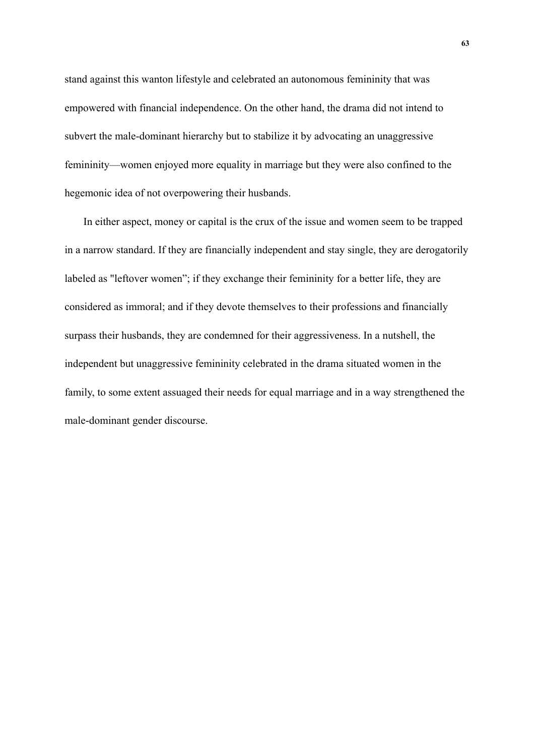stand against this wanton lifestyle and celebrated an autonomous femininity that was empowered with financial independence. On the other hand, the drama did not intend to subvert the male-dominant hierarchy but to stabilize it by advocating an unaggressive femininity—women enjoyed more equality in marriage but they were also confined to the hegemonic idea of not overpowering their husbands.

In either aspect, money or capital is the crux of the issue and women seem to be trapped in a narrow standard. If they are financially independent and stay single, they are derogatorily labeled as "leftover women"; if they exchange their femininity for a better life, they are considered as immoral; and if they devote themselves to their professions and financially surpass their husbands, they are condemned for their aggressiveness. In a nutshell, the independent but unaggressive femininity celebrated in the drama situated women in the family, to some extent assuaged their needs for equal marriage and in a way strengthened the male-dominant gender discourse.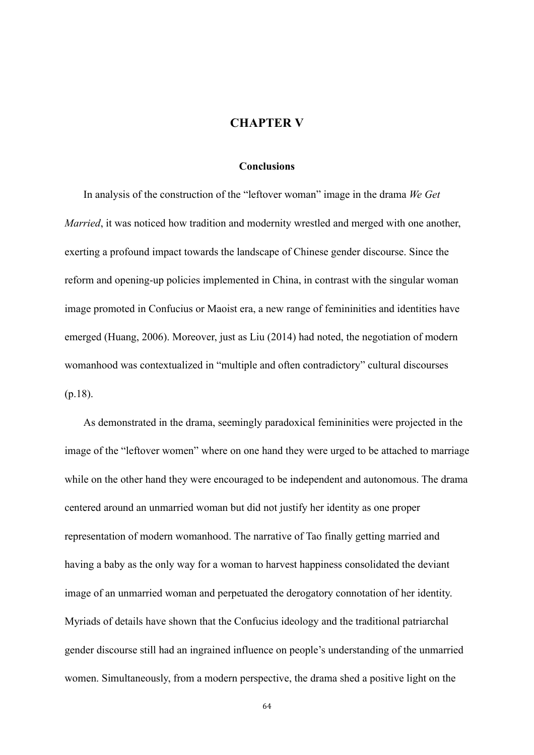## **CHAPTER V**

## **Conclusions**

In analysis of the construction of the "leftover woman" image in the drama *We Get Married*, it was noticed how tradition and modernity wrestled and merged with one another, exerting a profound impact towards the landscape of Chinese gender discourse. Since the reform and opening-up policies implemented in China, in contrast with the singular woman image promoted in Confucius or Maoist era, a new range of femininities and identities have emerged (Huang, 2006). Moreover, just as Liu (2014) had noted, the negotiation of modern womanhood was contextualized in "multiple and often contradictory" cultural discourses (p.18).

As demonstrated in the drama, seemingly paradoxical femininities were projected in the image of the "leftover women" where on one hand they were urged to be attached to marriage while on the other hand they were encouraged to be independent and autonomous. The drama centered around an unmarried woman but did not justify her identity as one proper representation of modern womanhood. The narrative of Tao finally getting married and having a baby as the only way for a woman to harvest happiness consolidated the deviant image of an unmarried woman and perpetuated the derogatory connotation of her identity. Myriads of details have shown that the Confucius ideology and the traditional patriarchal gender discourse still had an ingrained influence on people's understanding of the unmarried women. Simultaneously, from a modern perspective, the drama shed a positive light on the

64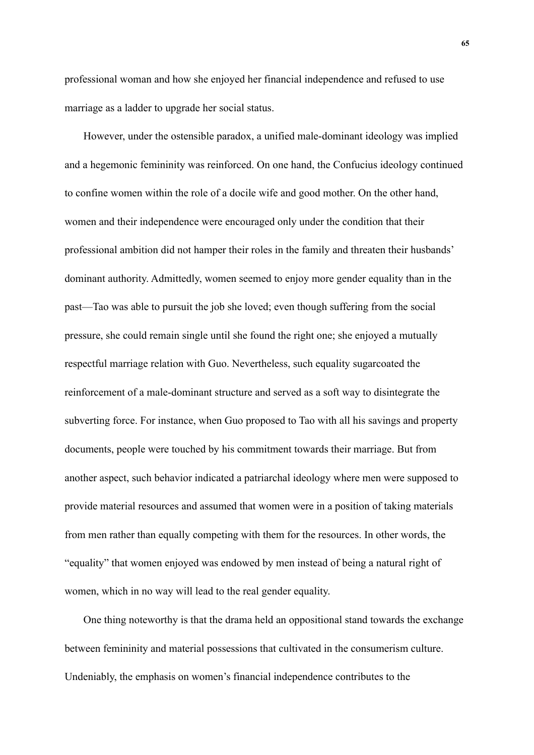professional woman and how she enjoyed her financial independence and refused to use marriage as a ladder to upgrade her social status.

However, under the ostensible paradox, a unified male-dominant ideology was implied and a hegemonic femininity was reinforced. On one hand, the Confucius ideology continued to confine women within the role of a docile wife and good mother. On the other hand, women and their independence were encouraged only under the condition that their professional ambition did not hamper their roles in the family and threaten their husbands' dominant authority. Admittedly, women seemed to enjoy more gender equality than in the past—Tao was able to pursuit the job she loved; even though suffering from the social pressure, she could remain single until she found the right one; she enjoyed a mutually respectful marriage relation with Guo. Nevertheless, such equality sugarcoated the reinforcement of a male-dominant structure and served as a soft way to disintegrate the subverting force. For instance, when Guo proposed to Tao with all his savings and property documents, people were touched by his commitment towards their marriage. But from another aspect, such behavior indicated a patriarchal ideology where men were supposed to provide material resources and assumed that women were in a position of taking materials from men rather than equally competing with them for the resources. In other words, the "equality" that women enjoyed was endowed by men instead of being a natural right of women, which in no way will lead to the real gender equality.

One thing noteworthy is that the drama held an oppositional stand towards the exchange between femininity and material possessions that cultivated in the consumerism culture. Undeniably, the emphasis on women's financial independence contributes to the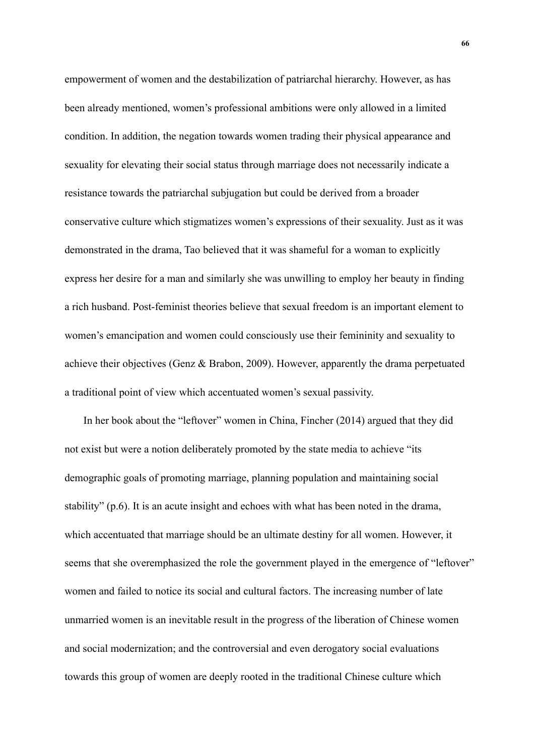empowerment of women and the destabilization of patriarchal hierarchy. However, as has been already mentioned, women's professional ambitions were only allowed in a limited condition. In addition, the negation towards women trading their physical appearance and sexuality for elevating their social status through marriage does not necessarily indicate a resistance towards the patriarchal subjugation but could be derived from a broader conservative culture which stigmatizes women's expressions of their sexuality. Just as it was demonstrated in the drama, Tao believed that it was shameful for a woman to explicitly express her desire for a man and similarly she was unwilling to employ her beauty in finding a rich husband. Post-feminist theories believe that sexual freedom is an important element to women's emancipation and women could consciously use their femininity and sexuality to achieve their objectives (Genz & Brabon, 2009). However, apparently the drama perpetuated a traditional point of view which accentuated women's sexual passivity.

In her book about the "leftover" women in China, Fincher (2014) argued that they did not exist but were a notion deliberately promoted by the state media to achieve "its demographic goals of promoting marriage, planning population and maintaining social stability" (p.6). It is an acute insight and echoes with what has been noted in the drama, which accentuated that marriage should be an ultimate destiny for all women. However, it seems that she overemphasized the role the government played in the emergence of "leftover" women and failed to notice its social and cultural factors. The increasing number of late unmarried women is an inevitable result in the progress of the liberation of Chinese women and social modernization; and the controversial and even derogatory social evaluations towards this group of women are deeply rooted in the traditional Chinese culture which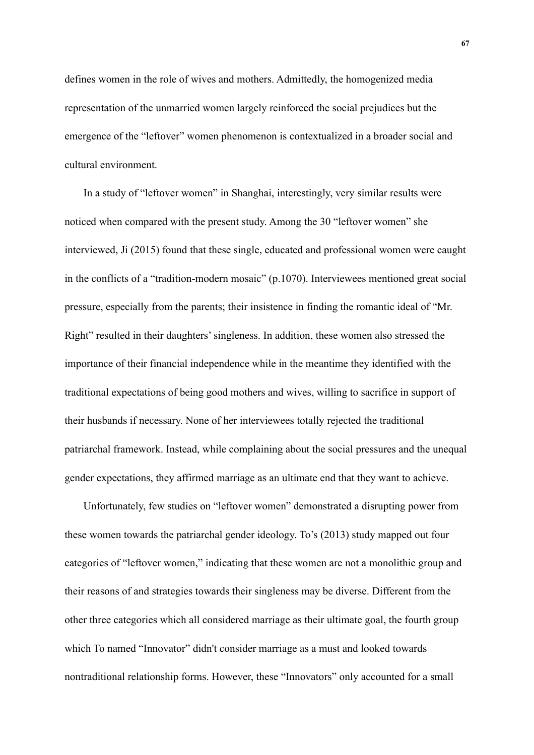defines women in the role of wives and mothers. Admittedly, the homogenized media representation of the unmarried women largely reinforced the social prejudices but the emergence of the "leftover" women phenomenon is contextualized in a broader social and cultural environment.

In a study of "leftover women" in Shanghai, interestingly, very similar results were noticed when compared with the present study. Among the 30 "leftover women" she interviewed, Ji (2015) found that these single, educated and professional women were caught in the conflicts of a "tradition-modern mosaic" (p.1070). Interviewees mentioned great social pressure, especially from the parents; their insistence in finding the romantic ideal of "Mr. Right" resulted in their daughters' singleness. In addition, these women also stressed the importance of their financial independence while in the meantime they identified with the traditional expectations of being good mothers and wives, willing to sacrifice in support of their husbands if necessary. None of her interviewees totally rejected the traditional patriarchal framework. Instead, while complaining about the social pressures and the unequal gender expectations, they affirmed marriage as an ultimate end that they want to achieve.

Unfortunately, few studies on "leftover women" demonstrated a disrupting power from these women towards the patriarchal gender ideology. To's (2013) study mapped out four categories of "leftover women," indicating that these women are not a monolithic group and their reasons of and strategies towards their singleness may be diverse. Different from the other three categories which all considered marriage as their ultimate goal, the fourth group which To named "Innovator" didn't consider marriage as a must and looked towards nontraditional relationship forms. However, these "Innovators" only accounted for a small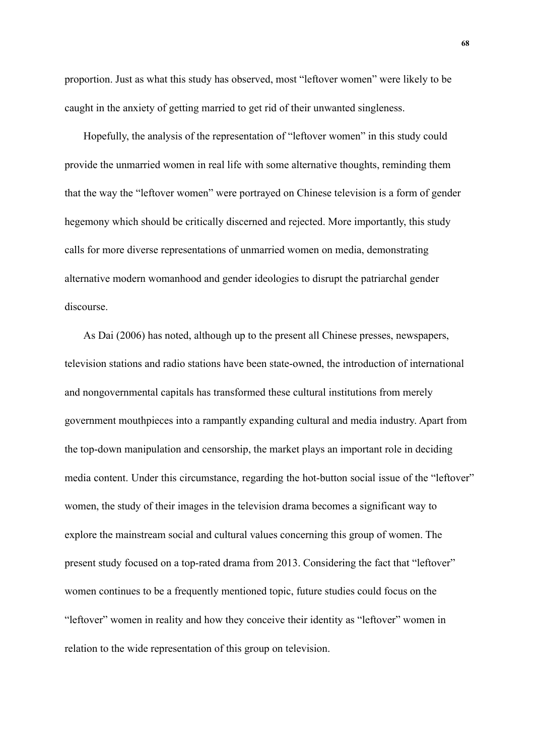proportion. Just as what this study has observed, most "leftover women" were likely to be caught in the anxiety of getting married to get rid of their unwanted singleness.

Hopefully, the analysis of the representation of "leftover women" in this study could provide the unmarried women in real life with some alternative thoughts, reminding them that the way the "leftover women" were portrayed on Chinese television is a form of gender hegemony which should be critically discerned and rejected. More importantly, this study calls for more diverse representations of unmarried women on media, demonstrating alternative modern womanhood and gender ideologies to disrupt the patriarchal gender discourse.

As Dai (2006) has noted, although up to the present all Chinese presses, newspapers, television stations and radio stations have been state-owned, the introduction of international and nongovernmental capitals has transformed these cultural institutions from merely government mouthpieces into a rampantly expanding cultural and media industry. Apart from the top-down manipulation and censorship, the market plays an important role in deciding media content. Under this circumstance, regarding the hot-button social issue of the "leftover" women, the study of their images in the television drama becomes a significant way to explore the mainstream social and cultural values concerning this group of women. The present study focused on a top-rated drama from 2013. Considering the fact that "leftover" women continues to be a frequently mentioned topic, future studies could focus on the "leftover" women in reality and how they conceive their identity as "leftover" women in relation to the wide representation of this group on television.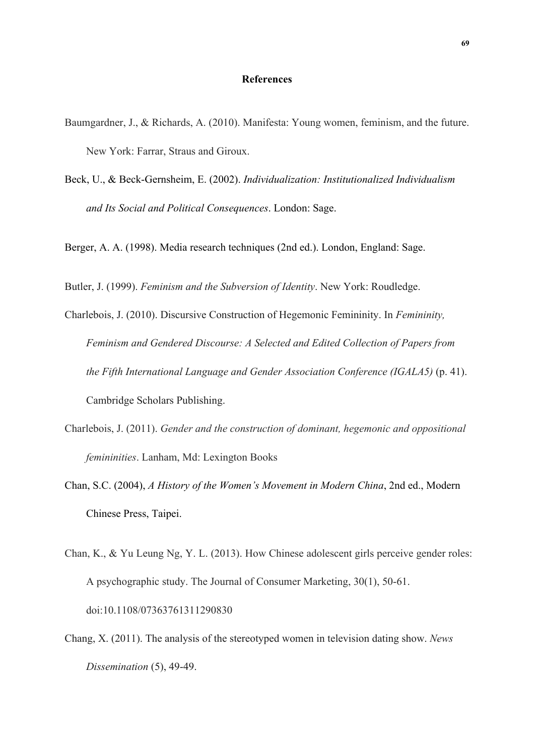## **References**

- Baumgardner, J., & Richards, A. (2010). Manifesta: Young women, feminism, and the future. New York: Farrar, Straus and Giroux.
- Beck, U., & Beck-Gernsheim, E. (2002). *Individualization: Institutionalized Individualism and Its Social and Political Consequences*. London: Sage.

Berger, A. A. (1998). Media research techniques (2nd ed.). London, England: Sage.

Butler, J. (1999). *Feminism and the Subversion of Identity*. New York: Roudledge.

- Charlebois, J. (2010). Discursive Construction of Hegemonic Femininity. In *Femininity, Feminism and Gendered Discourse: A Selected and Edited Collection of Papers from the Fifth International Language and Gender Association Conference (IGALA5)* (p. 41). Cambridge Scholars Publishing.
- Charlebois, J. (2011). *Gender and the construction of dominant, hegemonic and oppositional femininities*. Lanham, Md: Lexington Books
- Chan, S.C. (2004), *A History of the Women's Movement in Modern China*, 2nd ed., Modern Chinese Press, Taipei.
- Chan, K., & Yu Leung Ng, Y. L. (2013). How Chinese adolescent girls perceive gender roles: A psychographic study. The Journal of Consumer Marketing, 30(1), 50-61. doi:10.1108/07363761311290830
- Chang, X. (2011). The analysis of the stereotyped women in television dating show. *News Dissemination* (5), 49-49.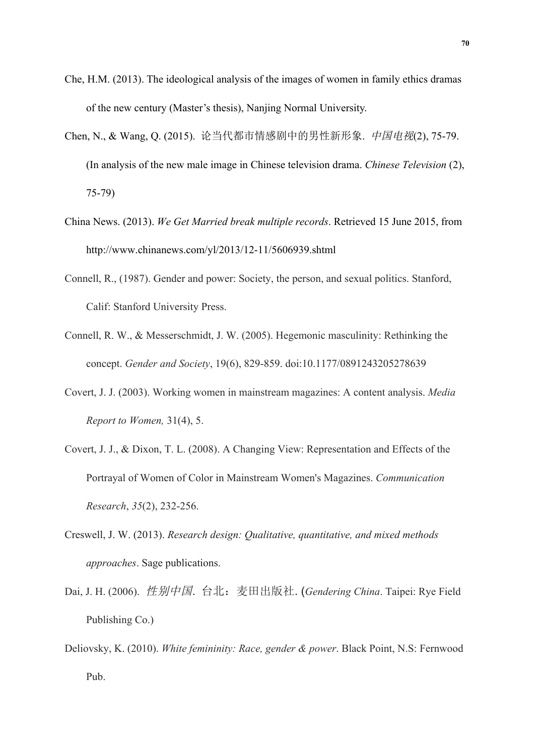- Che, H.M. (2013). The ideological analysis of the images of women in family ethics dramas of the new century (Master's thesis), Nanjing Normal University.
- Chen, N., & Wang, Q. (2015). 论当代都市情感剧中的男性新形象. 中国电视(2), 75-79. (In analysis of the new male image in Chinese television drama. *Chinese Television* (2), 75-79)
- China News. (2013). *We Get Married break multiple records*. Retrieved 15 June 2015, from http://www.chinanews.com/yl/2013/12-11/5606939.shtml
- Connell, R., (1987). Gender and power: Society, the person, and sexual politics. Stanford, Calif: Stanford University Press.
- Connell, R. W., & Messerschmidt, J. W. (2005). Hegemonic masculinity: Rethinking the concept. *Gender and Society*, 19(6), 829-859. doi:10.1177/0891243205278639
- Covert, J. J. (2003). Working women in mainstream magazines: A content analysis. *Media Report to Women,* 31(4), 5.
- Covert, J. J., & Dixon, T. L. (2008). A Changing View: Representation and Effects of the Portrayal of Women of Color in Mainstream Women's Magazines. *Communication Research*, *35*(2), 232-256.
- Creswell, J. W. (2013). *Research design: Qualitative, quantitative, and mixed methods approaches*. Sage publications.
- Dai, J. H. (2006). 性别中国. 台北:麦田出版社. (*Gendering China*. Taipei: Rye Field Publishing Co.)
- Deliovsky, K. (2010). *White femininity: Race, gender & power*. Black Point, N.S: Fernwood Pub.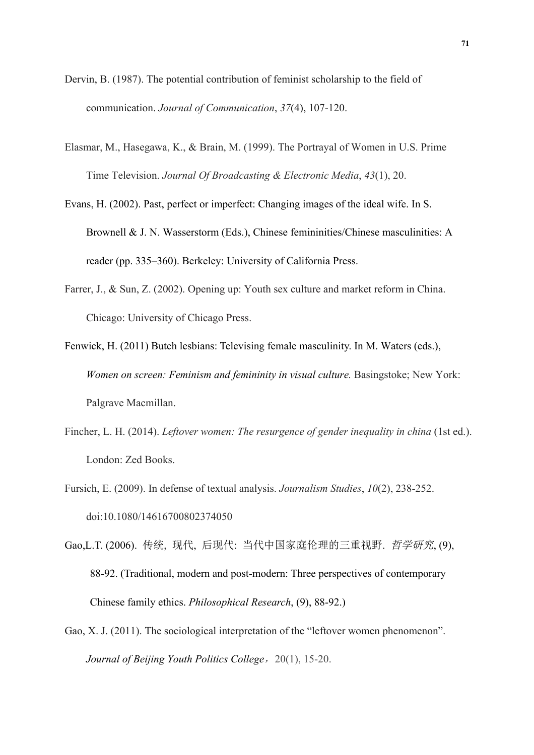- Dervin, B. (1987). The potential contribution of feminist scholarship to the field of communication. *Journal of Communication*, *37*(4), 107-120.
- Elasmar, M., Hasegawa, K., & Brain, M. (1999). The Portrayal of Women in U.S. Prime Time Television. *Journal Of Broadcasting & Electronic Media*, *43*(1), 20.
- Evans, H. (2002). Past, perfect or imperfect: Changing images of the ideal wife. In S. Brownell & J. N. Wasserstorm (Eds.), Chinese femininities/Chinese masculinities: A reader (pp. 335–360). Berkeley: University of California Press.
- Farrer, J., & Sun, Z. (2002). Opening up: Youth sex culture and market reform in China. Chicago: University of Chicago Press.

Fenwick, H. (2011) Butch lesbians: Televising female masculinity. In M. Waters (eds.), *Women on screen: Feminism and femininity in visual culture.* Basingstoke; New York: Palgrave Macmillan.

- Fincher, L. H. (2014). *Leftover women: The resurgence of gender inequality in china* (1st ed.). London: Zed Books.
- Fursich, E. (2009). In defense of textual analysis. *Journalism Studies*, *10*(2), 238-252. doi:10.1080/14616700802374050
- Gao,L.T. (2006). 传统, 现代, 后现代: 当代中国家庭伦理的三重视野. 哲学研究, (9), 88-92. (Traditional, modern and post-modern: Three perspectives of contemporary Chinese family ethics. *Philosophical Research*, (9), 88-92.)
- Gao, X. J. (2011). The sociological interpretation of the "leftover women phenomenon". *Journal of Beijing Youth Politics College*, 20(1), 15-20.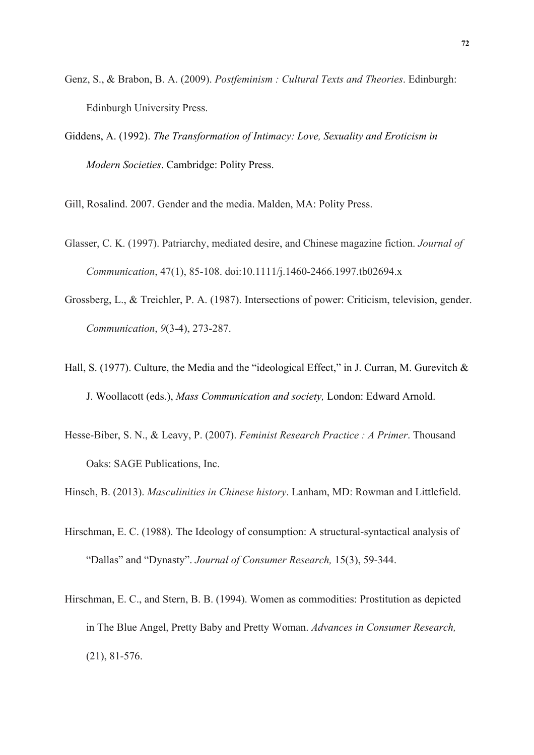- Genz, S., & Brabon, B. A. (2009). *Postfeminism : Cultural Texts and Theories*. Edinburgh: Edinburgh University Press.
- Giddens, A. (1992). *The Transformation of Intimacy: Love, Sexuality and Eroticism in Modern Societies*. Cambridge: Polity Press.

Gill, Rosalind. 2007. Gender and the media. Malden, MA: Polity Press.

- Glasser, C. K. (1997). Patriarchy, mediated desire, and Chinese magazine fiction. *Journal of Communication*, 47(1), 85-108. doi:10.1111/j.1460-2466.1997.tb02694.x
- Grossberg, L., & Treichler, P. A. (1987). Intersections of power: Criticism, television, gender. *Communication*, *9*(3-4), 273-287.
- Hall, S. (1977). Culture, the Media and the "ideological Effect," in J. Curran, M. Gurevitch & J. Woollacott (eds.), *Mass Communication and society,* London: Edward Arnold.
- Hesse-Biber, S. N., & Leavy, P. (2007). *Feminist Research Practice : A Primer*. Thousand Oaks: SAGE Publications, Inc.

Hinsch, B. (2013). *Masculinities in Chinese history*. Lanham, MD: Rowman and Littlefield.

- Hirschman, E. C. (1988). The Ideology of consumption: A structural-syntactical analysis of "Dallas" and "Dynasty". *Journal of Consumer Research,* 15(3), 59-344.
- Hirschman, E. C., and Stern, B. B. (1994). Women as commodities: Prostitution as depicted in The Blue Angel, Pretty Baby and Pretty Woman. *Advances in Consumer Research,* (21), 81-576.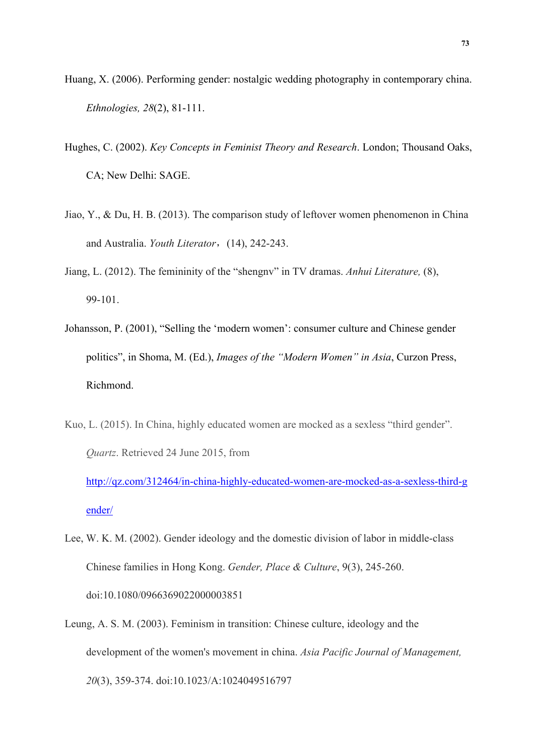- Huang, X. (2006). Performing gender: nostalgic wedding photography in contemporary china. *Ethnologies, 28*(2), 81-111.
- Hughes, C. (2002). *Key Concepts in Feminist Theory and Research*. London; Thousand Oaks, CA; New Delhi: SAGE.
- Jiao, Y., & Du, H. B. (2013). The comparison study of leftover women phenomenon in China and Australia. *Youth Literator*,(14), 242-243.
- Jiang, L. (2012). The femininity of the "shengnv" in TV dramas. *Anhui Literature,* (8), 99-101.
- Johansson, P. (2001), "Selling the 'modern women': consumer culture and Chinese gender politics", in Shoma, M. (Ed.), *Images of the "Modern Women" in Asia*, Curzon Press, Richmond.
- Kuo, L. (2015). In China, highly educated women are mocked as a sexless "third gender". *Quartz*. Retrieved 24 June 2015, from

http://qz.com/312464/in-china-highly-educated-women-are-mocked-as-a-sexless-third-g ender/

- Lee, W. K. M. (2002). Gender ideology and the domestic division of labor in middle-class Chinese families in Hong Kong. *Gender, Place & Culture*, 9(3), 245-260. doi:10.1080/0966369022000003851
- Leung, A. S. M. (2003). Feminism in transition: Chinese culture, ideology and the development of the women's movement in china. *Asia Pacific Journal of Management, 20*(3), 359-374. doi:10.1023/A:1024049516797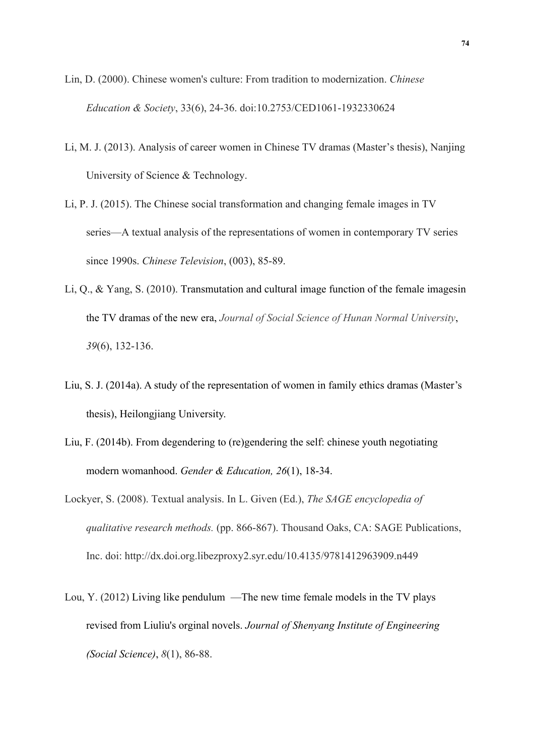- Lin, D. (2000). Chinese women's culture: From tradition to modernization. *Chinese Education & Society*, 33(6), 24-36. doi:10.2753/CED1061-1932330624
- Li, M. J. (2013). Analysis of career women in Chinese TV dramas (Master's thesis), Nanjing University of Science & Technology.
- Li, P. J. (2015). The Chinese social transformation and changing female images in TV series—A textual analysis of the representations of women in contemporary TV series since 1990s. *Chinese Television*, (003), 85-89.
- Li, Q., & Yang, S. (2010). Transmutation and cultural image function of the female imagesin the TV dramas of the new era, *Journal of Social Science of Hunan Normal University*, *39*(6), 132-136.
- Liu, S. J. (2014a). A study of the representation of women in family ethics dramas (Master's thesis), Heilongjiang University.
- Liu, F. (2014b). From degendering to (re)gendering the self: chinese youth negotiating modern womanhood. *Gender & Education, 26*(1), 18-34.
- Lockyer, S. (2008). Textual analysis. In L. Given (Ed.), *The SAGE encyclopedia of qualitative research methods.* (pp. 866-867). Thousand Oaks, CA: SAGE Publications, Inc. doi: http://dx.doi.org.libezproxy2.syr.edu/10.4135/9781412963909.n449
- Lou, Y. (2012) Living like pendulum —The new time female models in the TV plays revised from Liuliu's orginal novels. *Journal of Shenyang Institute of Engineering (Social Science)*, *8*(1), 86-88.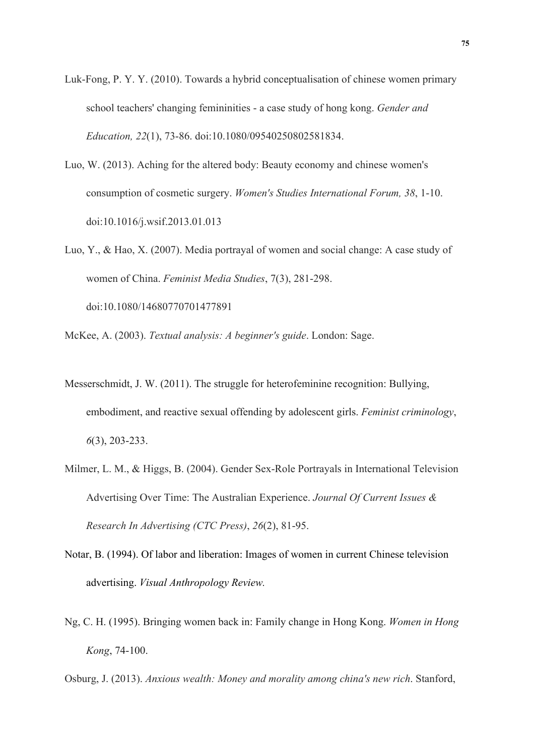- Luk-Fong, P. Y. Y. (2010). Towards a hybrid conceptualisation of chinese women primary school teachers' changing femininities - a case study of hong kong. *Gender and Education, 22*(1), 73-86. doi:10.1080/09540250802581834.
- Luo, W. (2013). Aching for the altered body: Beauty economy and chinese women's consumption of cosmetic surgery. *Women's Studies International Forum, 38*, 1-10. doi:10.1016/j.wsif.2013.01.013
- Luo, Y., & Hao, X. (2007). Media portrayal of women and social change: A case study of women of China. *Feminist Media Studies*, 7(3), 281-298. doi:10.1080/14680770701477891
- McKee, A. (2003). *Textual analysis: A beginner's guide*. London: Sage.
- Messerschmidt, J. W. (2011). The struggle for heterofeminine recognition: Bullying, embodiment, and reactive sexual offending by adolescent girls. *Feminist criminology*, *6*(3), 203-233.
- Milmer, L. M., & Higgs, B. (2004). Gender Sex-Role Portrayals in International Television Advertising Over Time: The Australian Experience. *Journal Of Current Issues & Research In Advertising (CTC Press)*, *26*(2), 81-95.
- Notar, B. (1994). Of labor and liberation: Images of women in current Chinese television advertising. *Visual Anthropology Review.*
- Ng, C. H. (1995). Bringing women back in: Family change in Hong Kong. *Women in Hong Kong*, 74-100.
- Osburg, J. (2013). *Anxious wealth: Money and morality among china's new rich*. Stanford,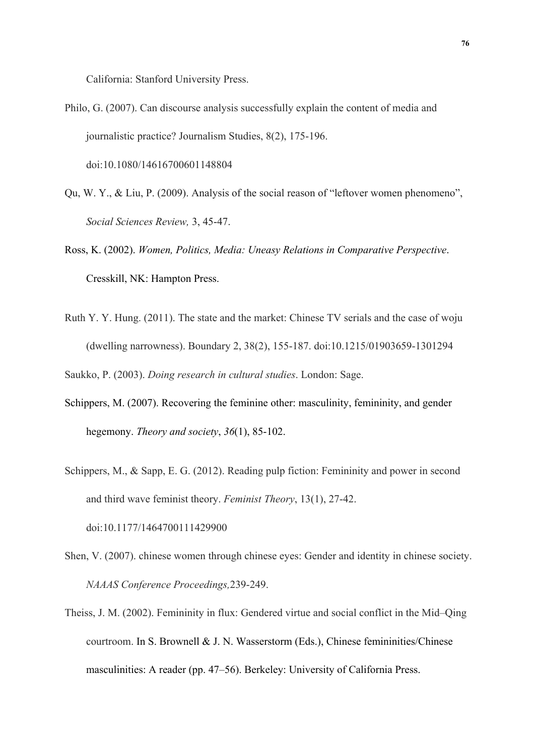California: Stanford University Press.

- Philo, G. (2007). Can discourse analysis successfully explain the content of media and journalistic practice? Journalism Studies, 8(2), 175-196. doi:10.1080/14616700601148804
- Qu, W. Y., & Liu, P. (2009). Analysis of the social reason of "leftover women phenomeno", *Social Sciences Review,* 3, 45-47.
- Ross, K. (2002). *Women, Politics, Media: Uneasy Relations in Comparative Perspective*. Cresskill, NK: Hampton Press.
- Ruth Y. Y. Hung. (2011). The state and the market: Chinese TV serials and the case of woju (dwelling narrowness). Boundary 2, 38(2), 155-187. doi:10.1215/01903659-1301294

Saukko, P. (2003). *Doing research in cultural studies*. London: Sage.

- Schippers, M. (2007). Recovering the feminine other: masculinity, femininity, and gender hegemony. *Theory and society*, *36*(1), 85-102.
- Schippers, M., & Sapp, E. G. (2012). Reading pulp fiction: Femininity and power in second and third wave feminist theory. *Feminist Theory*, 13(1), 27-42. doi:10.1177/1464700111429900
- Shen, V. (2007). chinese women through chinese eyes: Gender and identity in chinese society. *NAAAS Conference Proceedings,*239-249.
- Theiss, J. M. (2002). Femininity in flux: Gendered virtue and social conflict in the Mid–Qing courtroom. In S. Brownell & J. N. Wasserstorm (Eds.), Chinese femininities/Chinese masculinities: A reader (pp. 47–56). Berkeley: University of California Press.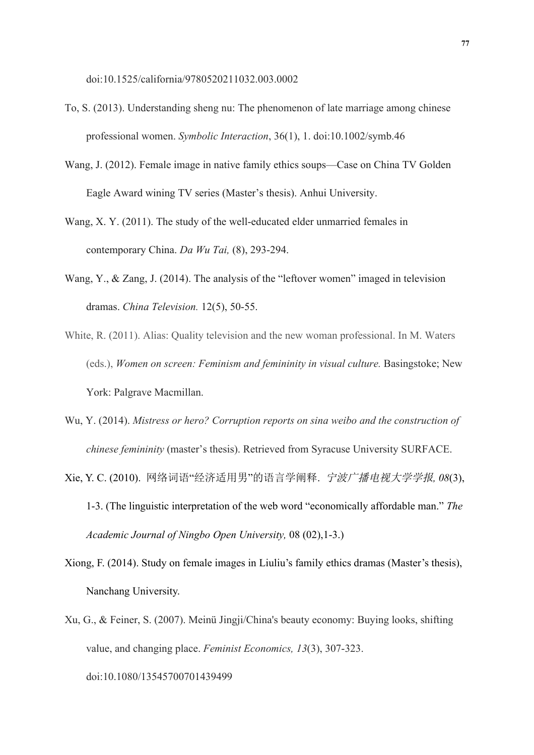doi:10.1525/california/9780520211032.003.0002

- To, S. (2013). Understanding sheng nu: The phenomenon of late marriage among chinese professional women. *Symbolic Interaction*, 36(1), 1. doi:10.1002/symb.46
- Wang, J. (2012). Female image in native family ethics soups—Case on China TV Golden Eagle Award wining TV series (Master's thesis). Anhui University.
- Wang, X. Y. (2011). The study of the well-educated elder unmarried females in contemporary China. *Da Wu Tai,* (8), 293-294.
- Wang, Y., & Zang, J. (2014). The analysis of the "leftover women" imaged in television dramas. *China Television.* 12(5), 50-55.
- White, R. (2011). Alias: Quality television and the new woman professional. In M. Waters (eds.), *Women on screen: Feminism and femininity in visual culture. Basingstoke; New* York: Palgrave Macmillan.
- Wu, Y. (2014). *Mistress or hero? Corruption reports on sina weibo and the construction of chinese femininity* (master's thesis). Retrieved from Syracuse University SURFACE.
- Xie, Y. C. (2010). 网络词语"经济适用男"的语言学阐释. 宁波广播电视大学学报*, 08*(3), 1-3. (The linguistic interpretation of the web word "economically affordable man." *The Academic Journal of Ningbo Open University,* 08 (02),1-3.)
- Xiong, F. (2014). Study on female images in Liuliu's family ethics dramas (Master's thesis), Nanchang University.
- Xu, G., & Feiner, S. (2007). Meinü Jingji/China's beauty economy: Buying looks, shifting value, and changing place. *Feminist Economics, 13*(3), 307-323. doi:10.1080/13545700701439499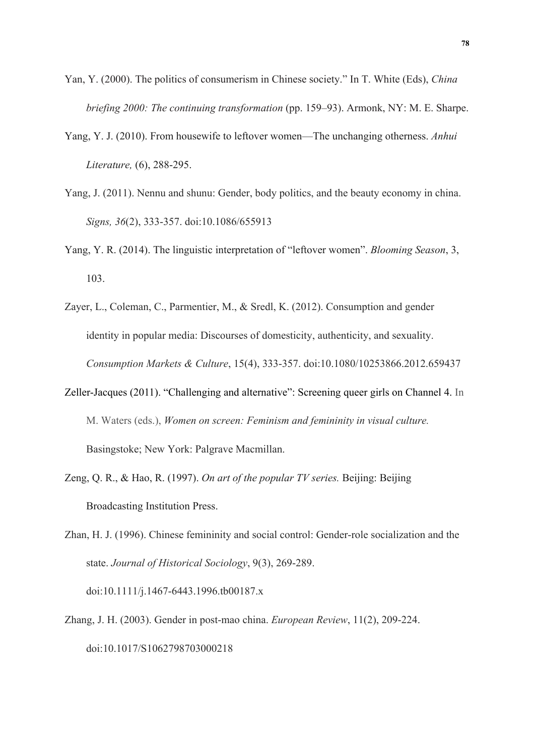- Yan, Y. (2000). The politics of consumerism in Chinese society." In T. White (Eds), *China briefing 2000: The continuing transformation* (pp. 159–93). Armonk, NY: M. E. Sharpe.
- Yang, Y. J. (2010). From housewife to leftover women—The unchanging otherness. *Anhui Literature,* (6), 288-295.
- Yang, J. (2011). Nennu and shunu: Gender, body politics, and the beauty economy in china. *Signs, 36*(2), 333-357. doi:10.1086/655913
- Yang, Y. R. (2014). The linguistic interpretation of "leftover women". *Blooming Season*, 3, 103.
- Zayer, L., Coleman, C., Parmentier, M., & Sredl, K. (2012). Consumption and gender identity in popular media: Discourses of domesticity, authenticity, and sexuality. *Consumption Markets & Culture*, 15(4), 333-357. doi:10.1080/10253866.2012.659437
- Zeller-Jacques (2011). "Challenging and alternative": Screening queer girls on Channel 4. In M. Waters (eds.), *Women on screen: Feminism and femininity in visual culture.*  Basingstoke; New York: Palgrave Macmillan.
- Zeng, Q. R., & Hao, R. (1997). *On art of the popular TV series.* Beijing: Beijing Broadcasting Institution Press.
- Zhan, H. J. (1996). Chinese femininity and social control: Gender-role socialization and the state. *Journal of Historical Sociology*, 9(3), 269-289. doi:10.1111/j.1467-6443.1996.tb00187.x
- Zhang, J. H. (2003). Gender in post-mao china. *European Review*, 11(2), 209-224. doi:10.1017/S1062798703000218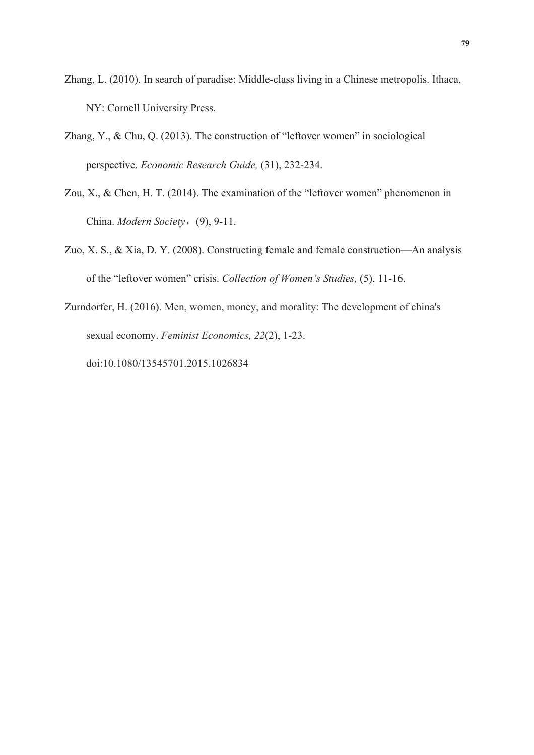- Zhang, L. (2010). In search of paradise: Middle-class living in a Chinese metropolis. Ithaca, NY: Cornell University Press.
- Zhang, Y., & Chu, Q. (2013). The construction of "leftover women" in sociological perspective. *Economic Research Guide,* (31), 232-234.
- Zou, X., & Chen, H. T. (2014). The examination of the "leftover women" phenomenon in China. *Modern Society*,(9), 9-11.
- Zuo, X. S., & Xia, D. Y. (2008). Constructing female and female construction—An analysis of the "leftover women" crisis. *Collection of Women's Studies,* (5), 11-16.
- Zurndorfer, H. (2016). Men, women, money, and morality: The development of china's sexual economy. *Feminist Economics, 22*(2), 1-23.

doi:10.1080/13545701.2015.1026834